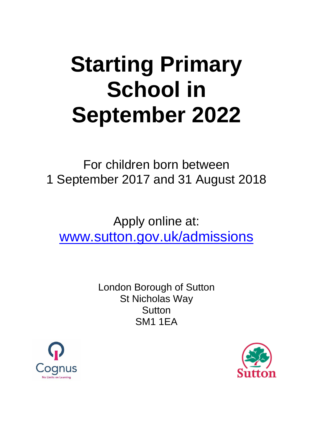# **Starting Primary School in September 2022**

For children born between 1 September 2017 and 31 August 2018

Apply online at: [www.sutton.gov.uk/admissions](http://www.sutton.gov.uk/admissions)

> London Borough of Sutton St Nicholas Way **Sutton** SM1 1EA



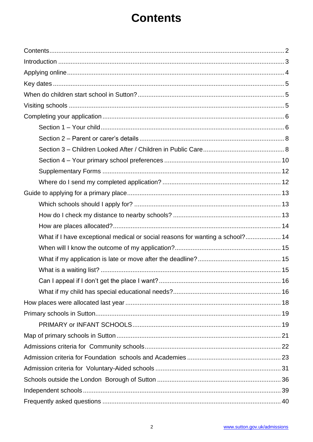## **Contents**

<span id="page-1-0"></span>

| What if I have exceptional medical or social reasons for wanting a school? 14 |
|-------------------------------------------------------------------------------|
|                                                                               |
|                                                                               |
|                                                                               |
|                                                                               |
|                                                                               |
|                                                                               |
|                                                                               |
|                                                                               |
|                                                                               |
|                                                                               |
|                                                                               |
|                                                                               |
|                                                                               |
|                                                                               |
|                                                                               |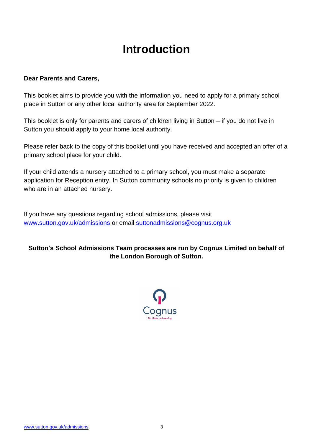## **Introduction**

#### <span id="page-2-0"></span>**Dear Parents and Carers,**

This booklet aims to provide you with the information you need to apply for a primary school place in Sutton or any other local authority area for September 2022.

This booklet is only for parents and carers of children living in Sutton – if you do not live in Sutton you should apply to your home local authority.

Please refer back to the copy of this booklet until you have received and accepted an offer of a primary school place for your child.

If your child attends a nursery attached to a primary school, you must make a separate application for Reception entry. In Sutton community schools no priority is given to children who are in an attached nursery.

If you have any questions regarding school admissions, please visit [www.sutton.gov.uk/admissions](http://www.sutton.gov.uk/admissions) or email [suttonadmissions@cognus.org.uk](mailto:suttonadmissions@cognus.org.uk)

#### **Sutton's School Admissions Team processes are run by Cognus Limited on behalf of the London Borough of Sutton.**

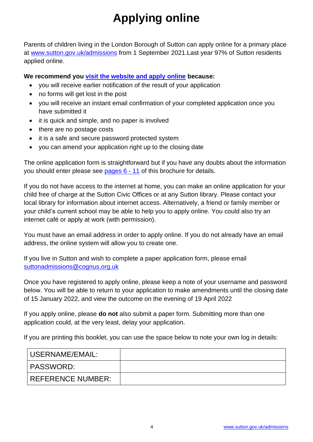## **Applying online**

<span id="page-3-0"></span>Parents of children living in the London Borough of Sutton can apply online for a primary place at [www.sutton.gov.uk/admissions](http://www.sutton.gov.uk/admissions) from 1 September 2021.Last year 97% of Sutton residents applied online.

**We recommend you [visit the website and apply online](http://www.sutton.gov.uk/admissions) because:**

- you will receive earlier notification of the result of your application
- no forms will get lost in the post
- you will receive an instant email confirmation of your completed application once you have submitted it
- it is quick and simple, and no paper is involved
- there are no postage costs
- it is a safe and secure password protected system
- vou can amend your application right up to the closing date

The online application form is straightforward but if you have any doubts about the information you should enter please see [pages 6 -](#page-5-0) 11 of this brochure for details.

If you do not have access to the internet at home, you can make an online application for your child free of charge at the Sutton Civic Offices or at any Sutton library. Please contact your local library for information about internet access. Alternatively, a friend or family member or your child's current school may be able to help you to apply online. You could also try an internet café or apply at work (with permission).

You must have an email address in order to apply online. If you do not already have an email address, the online system will allow you to create one.

If you live in Sutton and wish to complete a paper application form, please email [suttonadmissions@cognus.org.uk](mailto:suttonadmissions@cognus.org.uk)

Once you have registered to apply online, please keep a note of your username and password below. You will be able to return to your application to make amendments until the closing date of 15 January 2022, and view the outcome on the evening of 19 April 2022

If you apply online, please **do not** also submit a paper form. Submitting more than one application could, at the very least, delay your application.

If you are printing this booklet, you can use the space below to note your own log in details:

| USERNAME/EMAIL:   |  |
|-------------------|--|
| PASSWORD:         |  |
| REFERENCE NUMBER: |  |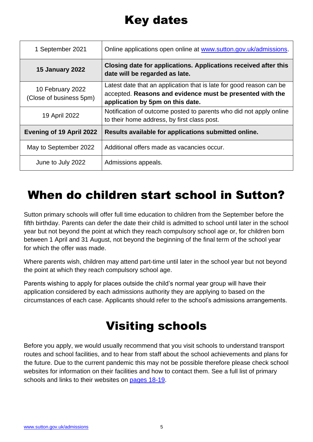## Key dates

<span id="page-4-0"></span>

| 1 September 2021                            | Online applications open online at www.sutton.gov.uk/admissions.                                                                                                     |
|---------------------------------------------|----------------------------------------------------------------------------------------------------------------------------------------------------------------------|
| <b>15 January 2022</b>                      | Closing date for applications. Applications received after this<br>date will be regarded as late.                                                                    |
| 10 February 2022<br>(Close of business 5pm) | Latest date that an application that is late for good reason can be<br>accepted. Reasons and evidence must be presented with the<br>application by 5pm on this date. |
| 19 April 2022                               | Notification of outcome posted to parents who did not apply online<br>to their home address, by first class post.                                                    |
| <b>Evening of 19 April 2022</b>             | Results available for applications submitted online.                                                                                                                 |
| May to September 2022                       | Additional offers made as vacancies occur.                                                                                                                           |
| June to July 2022                           | Admissions appeals.                                                                                                                                                  |

## <span id="page-4-1"></span>When do children start school in Sutton?

Sutton primary schools will offer full time education to children from the September before the fifth birthday. Parents can defer the date their child is admitted to school until later in the school year but not beyond the point at which they reach compulsory school age or, for children born between 1 April and 31 August, not beyond the beginning of the final term of the school year for which the offer was made.

Where parents wish, children may attend part-time until later in the school year but not beyond the point at which they reach compulsory school age.

Parents wishing to apply for places outside the child's normal year group will have their application considered by each admissions authority they are applying to based on the circumstances of each case. Applicants should refer to the school's admissions arrangements.

## Visiting schools

<span id="page-4-2"></span>Before you apply, we would usually recommend that you visit schools to understand transport routes and school facilities, and to hear from staff about the school achievements and plans for the future. Due to the current pandemic this may not be possible therefore please check school websites for information on their facilities and how to contact them. See a full list of primary schools and links to their websites on [pages 18-19.](#page-22-1)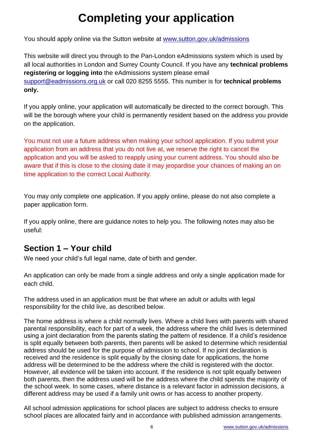## **Completing your application**

<span id="page-5-0"></span>You should apply online via the Sutton website at [www.sutton.gov.uk/admissions](http://www.sutton.gov.uk/admissions)

This website will direct you through to the Pan-London eAdmissions system which is used by all local authorities in London and Surrey County Council. If you have any **technical problems registering or logging into** the eAdmissions system please email [support@eadmissions.org.uk](mailto:support@eadmissions.org.uk) or call 020 8255 5555. This number is for **technical problems only.**

If you apply online, your application will automatically be directed to the correct borough. This will be the borough where your child is permanently resident based on the address you provide on the application.

You must not use a future address when making your school application. If you submit your application from an address that you do not live at, we reserve the right to cancel the application and you will be asked to reapply using your current address. You should also be aware that if this is close to the closing date it may jeopardise your chances of making an on time application to the correct Local Authority.

You may only complete one application. If you apply online, please do not also complete a paper application form.

If you apply online, there are guidance notes to help you. The following notes may also be useful:

#### <span id="page-5-1"></span>**Section 1 – Your child**

We need your child's full legal name, date of birth and gender.

An application can only be made from a single address and only a single application made for each child.

The address used in an application must be that where an adult or adults with legal responsibility for the child live, as described below.

The home address is where a child normally lives. Where a child lives with parents with shared parental responsibility, each for part of a week, the address where the child lives is determined using a joint declaration from the parents stating the pattern of residence. If a child's residence is split equally between both parents, then parents will be asked to determine which residential address should be used for the purpose of admission to school. If no joint declaration is received and the residence is split equally by the closing date for applications, the home address will be determined to be the address where the child is registered with the doctor. However, all evidence will be taken into account. If the residence is not split equally between both parents, then the address used will be the address where the child spends the majority of the school week. In some cases, where distance is a relevant factor in admission decisions, a different address may be used if a family unit owns or has access to another property.

All school admission applications for school places are subject to address checks to ensure school places are allocated fairly and in accordance with published admission arrangements.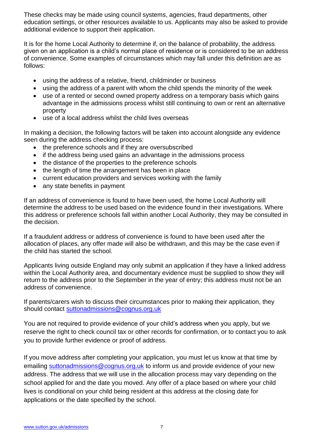These checks may be made using council systems, agencies, fraud departments, other education settings, or other resources available to us. Applicants may also be asked to provide additional evidence to support their application.

It is for the home Local Authority to determine if, on the balance of probability, the address given on an application is a child's normal place of residence or is considered to be an address of convenience. Some examples of circumstances which may fall under this definition are as follows:

- using the address of a relative, friend, childminder or business
- using the address of a parent with whom the child spends the minority of the week
- use of a rented or second owned property address on a temporary basis which gains advantage in the admissions process whilst still continuing to own or rent an alternative property
- use of a local address whilst the child lives overseas

In making a decision, the following factors will be taken into account alongside any evidence seen during the address checking process:

- the preference schools and if they are oversubscribed
- if the address being used gains an advantage in the admissions process
- the distance of the properties to the preference schools
- the length of time the arrangement has been in place
- current education providers and services working with the family
- any state benefits in payment

If an address of convenience is found to have been used, the home Local Authority will determine the address to be used based on the evidence found in their investigations. Where this address or preference schools fall within another Local Authority, they may be consulted in the decision.

If a fraudulent address or address of convenience is found to have been used after the allocation of places, any offer made will also be withdrawn, and this may be the case even if the child has started the school.

Applicants living outside England may only submit an application if they have a linked address within the Local Authority area, and documentary evidence must be supplied to show they will return to the address prior to the September in the year of entry; this address must not be an address of convenience.

If parents/carers wish to discuss their circumstances prior to making their application, they should contact [suttonadmissions@cognus.org.uk](mailto:suttonadmissions@cognus.org.uk)

You are not required to provide evidence of your child's address when you apply, but we reserve the right to check council tax or other records for confirmation, or to contact you to ask you to provide further evidence or proof of address.

If you move address after completing your application, you must let us know at that time by emailing [suttonadmissions@cognus.org.uk](mailto:suttonadmissions@cognus.org.uk) to inform us and provide evidence of your new address. The address that we will use in the allocation process may vary depending on the school applied for and the date you moved. Any offer of a place based on where your child lives is conditional on your child being resident at this address at the closing date for applications or the date specified by the school.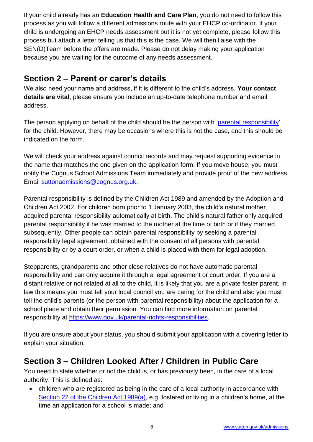If your child already has an **Education Health and Care Plan**, you do not need to follow this process as you will follow a different admissions route with your EHCP co-ordinator. If your child is undergoing an EHCP needs assessment but it is not yet complete, please follow this process but attach a letter telling us that this is the case. We will then liaise with the SEN(D)Team before the offers are made. Please do not delay making your application because you are waiting for the outcome of any needs assessment.

#### <span id="page-7-0"></span>**Section 2 – Parent or carer's details**

We also need your name and address, if it is different to the child's address. **Your contact details are vital**; please ensure you include an up-to-date telephone number and email address.

The person applying on behalf of the child should be the person with ['parental responsibility'](https://www.gov.uk/parental-rights-responsibilities) for the child. However, there may be occasions where this is not the case, and this should be indicated on the form.

We will check your address against council records and may request supporting evidence in the name that matches the one given on the application form. If you move house, you must notify the Cognus School Admissions Team immediately and provide proof of the new address. Email [suttonadmissions@cognus.org.uk.](mailto:suttonadmissions@cognus.org.uk)

Parental responsibility is defined by the Children Act 1989 and amended by the Adoption and Children Act 2002. For children born prior to 1 January 2003, the child's natural mother acquired parental responsibility automatically at birth. The child's natural father only acquired parental responsibility if he was married to the mother at the time of birth or if they married subsequently. Other people can obtain parental responsibility by seeking a parental responsibility legal agreement, obtained with the consent of all persons with parental responsibility or by a court order, or when a child is placed with them for legal adoption.

Stepparents, grandparents and other close relatives do not have automatic parental responsibility and can only acquire it through a legal agreement or court order. If you are a distant relative or not related at all to the child, it is likely that you are a private foster parent. In law this means you must tell your local council you are caring for the child and also you must tell the child's parents (or the person with parental responsibility) about the application for a school place and obtain their permission. You can find more information on parental responsibility at [https://www.gov.uk/parental-rights-responsibilities.](https://www.gov.uk/parental-rights-responsibilities)

If you are unsure about your status, you should submit your application with a covering letter to explain your situation.

#### <span id="page-7-1"></span>**Section 3 – Children Looked After / Children in Public Care**

You need to state whether or not the child is, or has previously been, in the care of a local authority. This is defined as:

• children who are registered as being in the care of a local authority in accordance with [Section 22 of the Children Act 1989\(a\),](http://www.legislation.gov.uk/ukpga/1989/41/section/22A) e.g. fostered or living in a children's home, at the time an application for a school is made; and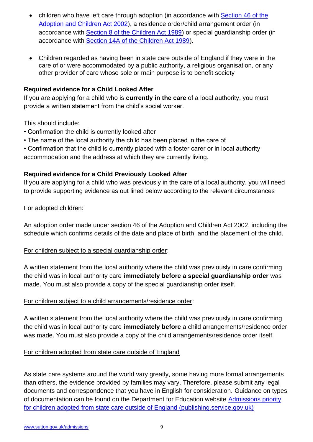- children who have left care through adoption (in accordance with Section 46 of the [Adoption and Children Act 2002\)](http://www.legislation.gov.uk/ukpga/2002/38/section/46), a residence order/child arrangement order (in accordance with [Section 8 of the Children Act 1989\)](http://www.legislation.gov.uk/ukpga/1989/41/section/8) or special guardianship order (in accordance with [Section 14A of the Children Act 1989\)](http://www.legislation.gov.uk/ukpga/1989/41/section/14A).
- Children regarded as having been in state care outside of England if they were in the care of or were accommodated by a public authority, a religious organisation, or any other provider of care whose sole or main purpose is to benefit society

#### **Required evidence for a Child Looked After**

If you are applying for a child who is **currently in the care** of a local authority, you must provide a written statement from the child's social worker.

This should include:

- Confirmation the child is currently looked after
- The name of the local authority the child has been placed in the care of
- Confirmation that the child is currently placed with a foster carer or in local authority

accommodation and the address at which they are currently living.

#### **Required evidence for a Child Previously Looked After**

If you are applying for a child who was previously in the care of a local authority, you will need to provide supporting evidence as out lined below according to the relevant circumstances

#### For adopted children:

An adoption order made under section 46 of the Adoption and Children Act 2002, including the schedule which confirms details of the date and place of birth, and the placement of the child.

#### For children subject to a special guardianship order:

A written statement from the local authority where the child was previously in care confirming the child was in local authority care **immediately before a special guardianship order** was made. You must also provide a copy of the special guardianship order itself.

#### For children subject to a child arrangements/residence order:

A written statement from the local authority where the child was previously in care confirming the child was in local authority care **immediately before** a child arrangements/residence order was made. You must also provide a copy of the child arrangements/residence order itself.

#### For children adopted from state care outside of England

As state care systems around the world vary greatly, some having more formal arrangements than others, the evidence provided by families may vary. Therefore, please submit any legal documents and correspondence that you have in English for consideration. Guidance on types of documentation can be found on the Department for Education website Admissions priority [for children adopted from state care outside of England \(publishing.service.gov.uk\)](https://assets.publishing.service.gov.uk/government/uploads/system/uploads/attachment_data/file/1001066/Admissions_priority_for_children_adopted_from_state_care_outside_of_England.pdf)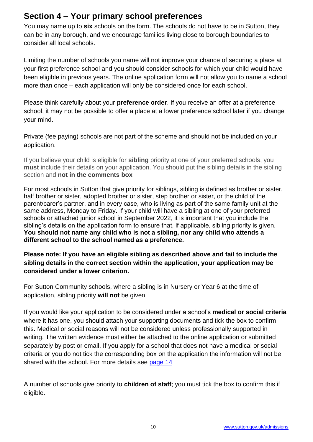#### <span id="page-9-0"></span>**Section 4 – Your primary school preferences**

You may name up to **six** schools on the form. The schools do not have to be in Sutton, they can be in any borough, and we encourage families living close to borough boundaries to consider all local schools.

Limiting the number of schools you name will not improve your chance of securing a place at your first preference school and you should consider schools for which your child would have been eligible in previous years. The online application form will not allow you to name a school more than once – each application will only be considered once for each school.

Please think carefully about your **preference order**. If you receive an offer at a preference school, it may not be possible to offer a place at a lower preference school later if you change your mind.

Private (fee paying) schools are not part of the scheme and should not be included on your application.

If you believe your child is eligible for **sibling** priority at one of your preferred schools, you **must** include their details on your application. You should put the sibling details in the sibling section and **not in the comments box**

<span id="page-9-1"></span>For most schools in Sutton that give priority for siblings, sibling is defined as brother or sister, half brother or sister, adopted brother or sister, step brother or sister, or the child of the parent/carer's partner, and in every case, who is living as part of the same family unit at the same address, Monday to Friday. If your child will have a sibling at one of your preferred schools or attached junior school in September 2022, it is important that you include the sibling's details on the application form to ensure that, if applicable, sibling priority is given. **You should not name any child who is not a sibling, nor any child who attends a different school to the school named as a preference.**

#### **Please note: If you have an eligible sibling as described above and fail to include the sibling details in the correct section within the application, your application may be considered under a lower criterion.**

For Sutton Community schools, where a sibling is in Nursery or Year 6 at the time of application, sibling priority **will not** be given.

If you would like your application to be considered under a school's **medical or social criteria**  where it has one, you should attach your supporting documents and tick the box to confirm this. Medical or social reasons will not be considered unless professionally supported in writing. The written evidence must either be attached to the online application or submitted separately by post or email. If you apply for a school that does not have a medical or social criteria or you do not tick the corresponding box on the application the information will not be shared with the school. For more details see [page 14](#page-13-1)

A number of schools give priority to **children of staff**; you must tick the box to confirm this if eligible.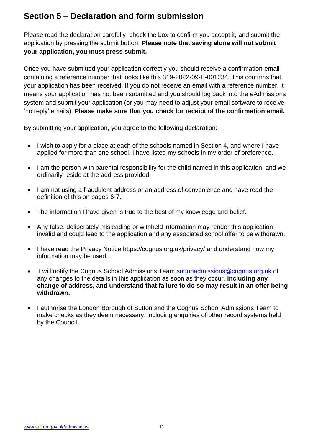#### **Section 5 – Declaration and form submission**

Please read the declaration carefully, check the box to confirm you accept it, and submit the application by pressing the submit button. **Please note that saving alone will not submit your application, you must press submit.**

Once you have submitted your application correctly you should receive a confirmation email containing a reference number that looks like this 319-2022-09-E-001234. This confirms that your application has been received. If you do not receive an email with a reference number, it means your application has not been submitted and you should log back into the eAdmissions system and submit your application (or you may need to adjust your email software to receive 'no reply' emails). **Please make sure that you check for receipt of the confirmation email.**

By submitting your application, you agree to the following declaration:

- I wish to apply for a place at each of the schools named in Section 4, and where I have applied for more than one school, I have listed my schools in my order of preference.
- I am the person with parental responsibility for the child named in this application, and we ordinarily reside at the address provided.
- I am not using a fraudulent address or an address of convenience and have read the definition of this on pages 6-7.
- The information I have given is true to the best of my knowledge and belief.
- Any false, deliberately misleading or withheld information may render this application invalid and could lead to the application and any associated school offer to be withdrawn.
- I have read the Privacy Notice<https://cognus.org.uk/privacy/> and understand how my information may be used.
- I will notify the Cognus School Admissions Team [suttonadmissions@cognus.org.uk](mailto:suttonadmissions@cognus.org.uk) of any changes to the details in this application as soon as they occur, **including any change of address, and understand that failure to do so may result in an offer being withdrawn.**
- <span id="page-10-1"></span><span id="page-10-0"></span>• I authorise the London Borough of Sutton and the Cognus School Admissions Team to make checks as they deem necessary, including enquiries of other record systems held by the Council.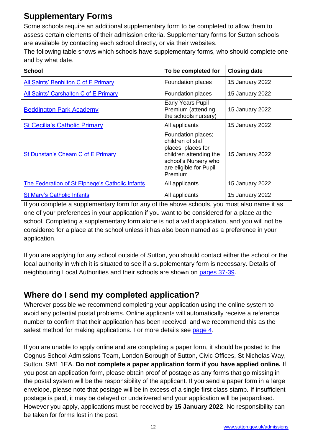### **Supplementary Forms**

Some schools require an additional supplementary form to be completed to allow them to assess certain elements of their admission criteria. Supplementary forms for Sutton schools are available by contacting each school directly, or via their websites.

The following table shows which schools have supplementary forms, who should complete one and by what date.

| <b>School</b>                                          | To be completed for                                                                                                                                  | <b>Closing date</b> |
|--------------------------------------------------------|------------------------------------------------------------------------------------------------------------------------------------------------------|---------------------|
| All Saints' Benhilton C of E Primary                   | Foundation places                                                                                                                                    | 15 January 2022     |
| All Saints' Carshalton C of E Primary                  | Foundation places                                                                                                                                    | 15 January 2022     |
| <b>Beddington Park Academy</b>                         | Early Years Pupil<br>Premium (attending<br>the schools nursery)                                                                                      | 15 January 2022     |
| <b>St Cecilia's Catholic Primary</b>                   | All applicants                                                                                                                                       | 15 January 2022     |
| St Dunstan's Cheam C of E Primary                      | Foundation places;<br>children of staff<br>places; places for<br>children attending the<br>school's Nursery who<br>are eligible for Pupil<br>Premium | 15 January 2022     |
| <b>The Federation of St Elphege's Catholic Infants</b> | All applicants                                                                                                                                       | 15 January 2022     |
| <b>St Mary's Catholic Infants</b>                      | All applicants                                                                                                                                       | 15 January 2022     |

If you complete a supplementary form for any of the above schools, you must also name it as one of your preferences in your application if you want to be considered for a place at the school. Completing a supplementary form alone is not a valid application, and you will not be considered for a place at the school unless it has also been named as a preference in your application.

If you are applying for any [school outside of Sutton,](https://www.sutton.gov.uk/info/200439/school_admissions/1069/applying_for_a_primary_school_place) you should contact either the school or the local authority in which it is situated to see if a supplementary form is necessary. Details of neighbouring Local Authorities and their schools are shown on [pages 37-39.](#page-36-0)

### <span id="page-11-0"></span>**Where do I send my completed application?**

Wherever possible we recommend completing your application using the online system to avoid any potential postal problems. Online applicants will automatically receive a reference number to confirm that their application has been received, and we recommend this as the safest method for making applications. For more details see [page 4.](#page-3-0)

If you are unable to apply online and are completing a paper form, it should be posted to the Cognus School Admissions Team, London Borough of Sutton, Civic Offices, St Nicholas Way, Sutton, SM1 1EA. **Do not complete a paper application form if you have applied online.** If you post an application form, please obtain proof of postage as any forms that go missing in the postal system will be the responsibility of the applicant. If you send a paper form in a large envelope, please note that postage will be in excess of a single first class stamp. If insufficient postage is paid, it may be delayed or undelivered and your application will be jeopardised. However you apply, applications must be received by **15 January 2022**. No responsibility can be taken for forms lost in the post.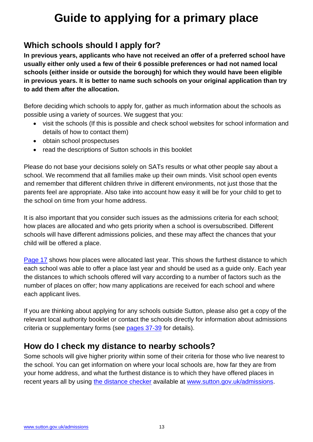## **Guide to applying for a primary place**

#### <span id="page-12-1"></span><span id="page-12-0"></span>**Which schools should I apply for?**

**In previous years, applicants who have not received an offer of a preferred school have usually either only used a few of their 6 possible preferences or had not named local schools (either inside or outside the borough) for which they would have been eligible in previous years. It is better to name such schools on your original application than try to add them after the allocation.**

Before deciding which schools to apply for, gather as much information about the schools as possible using a variety of sources. We suggest that you:

- visit the schools (If this is possible and check school websites for school information and details of how to contact them)
- obtain school prospectuses
- read the descriptions of Sutton schools in this booklet

Please do not base your decisions solely on SATs results or what other people say about a school. We recommend that all families make up their own minds. Visit school open events and remember that different children thrive in different environments, not just those that the parents feel are appropriate. Also take into account how easy it will be for your child to get to the school on time from your home address.

It is also important that you consider such issues as the admissions criteria for each school; how places are allocated and who gets priority when a school is oversubscribed. Different schools will have different admissions policies, and these may affect the chances that your child will be offered a place.

[Page 17](#page-17-1) shows how places were allocated last year. This shows the furthest distance to which each school was able to offer a place last year and should be used as a guide only. Each year the distances to which schools offered will vary according to a number of factors such as the number of places on offer; how many applications are received for each school and where each applicant lives.

If you are thinking about applying for any [schools outside Sutton,](https://www.sutton.gov.uk/info/200439/school_admissions/1069/applying_for_a_primary_school_place) please also get a copy of the relevant local authority booklet or contact the schools directly for information about admissions criteria or supplementary forms (see [pages 37-39](#page-36-0) for details).

#### <span id="page-12-4"></span><span id="page-12-2"></span>**How do I check my distance to nearby schools?**

<span id="page-12-3"></span>Some schools will give higher priority within some of their criteria for those who live nearest to the school. You can get information on where your local schools are, how far they are from your home address, and what the furthest distance is to which they have offered places in recent years all by using [the distance checker](https://www.sutton.gov.uk/info/200439/school_admissions/1088/distance_to_school_checker) available at [www.sutton.gov.uk/admissions.](http://www.sutton.gov.uk/admissions)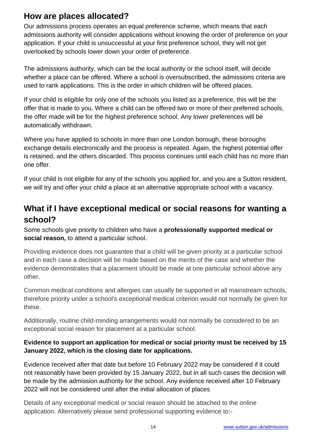#### **How are places allocated?**

Our admissions process operates an equal preference scheme, which means that each admissions authority will consider applications without knowing the order of preference on your application. If your child is unsuccessful at your first preference school, they will not get overlooked by schools lower down your order of preference.

The admissions authority, which can be the local authority or the school itself, will decide whether a place can be offered. Where a school is oversubscribed, the admissions criteria are used to rank applications. This is the order in which children will be offered places.

If your child is eligible for only one of the schools you listed as a preference, this will be the offer that is made to you. Where a child can be offered two or more of their preferred schools, the offer made will be for the highest preference school. Any lower preferences will be automatically withdrawn.

Where you have applied to schools in more than one London borough, these boroughs exchange details electronically and the process is repeated. Again, the highest potential offer is retained, and the others discarded. This process continues until each child has no more than one offer.

If your child is not eligible for any of the schools you applied for, and you are a Sutton resident, we will try and offer your child a place at an alternative appropriate school with a vacancy.

#### <span id="page-13-1"></span><span id="page-13-0"></span>**What if I have exceptional medical or social reasons for wanting a school?**

Some schools give priority to children who have a **professionally supported medical or social reason,** to attend a particular school.

Providing evidence does not guarantee that a child will be given priority at a particular school and in each case a decision will be made based on the merits of the case and whether the evidence demonstrates that a placement should be made at one particular school above any other.

Common medical conditions and allergies can usually be supported in all mainstream schools, therefore priority under a school's exceptional medical criterion would not normally be given for these.

Additionally, routine child-minding arrangements would not normally be considered to be an exceptional social reason for placement at a particular school.

#### **Evidence to support an application for medical or social priority must be received by 15 January 2022, which is the closing date for applications.**

Evidence received after that date but before 10 February 2022 may be considered if it could not reasonably have been provided by 15 January 2022, but in all such cases the decision will be made by the admission authority for the school. Any evidence received after 10 February 2022 will not be considered until after the initial allocation of places

Details of any exceptional medical or social reason should be attached to the online application. Alternatively please send professional supporting evidence to:-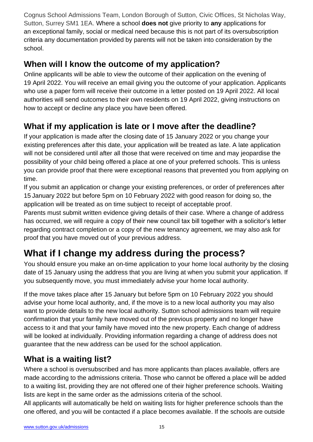<span id="page-14-0"></span>Cognus School Admissions Team, London Borough of Sutton, Civic Offices, St Nicholas Way, Sutton, Surrey SM1 1EA. Where a school **does not** give priority to **any** applications for an exceptional family, social or medical need because this is not part of its oversubscription criteria any documentation provided by parents will not be taken into consideration by the school.

#### **When will I know the outcome of my application?**

Online applicants will be able to view the outcome of their application on the evening of 19 April 2022. You will receive an email giving you the outcome of your application. Applicants who use a paper form will receive their outcome in a letter posted on 19 April 2022. All local authorities will send outcomes to their own residents on 19 April 2022, giving instructions on how to accept or decline any place you have been offered.

### <span id="page-14-1"></span>**What if my application is late or I move after the deadline?**

If your application is made after the closing date of 15 January 2022 or you change your existing preferences after this date, your application will be treated as late. A late application will not be considered until after all those that were received on time and may jeopardise the possibility of your child being offered a place at one of your preferred schools. This is unless you can provide proof that there were exceptional reasons that prevented you from applying on time.

If you submit an application or change your existing preferences, or order of preferences after 15 January 2022 but before 5pm on 10 February 2022 with good reason for doing so, the application will be treated as on time subject to receipt of acceptable proof.

Parents must submit written evidence giving details of their case. Where a change of address has occurred, we will require a copy of their new council tax bill together with a solicitor's letter regarding contract completion or a copy of the new tenancy agreement, we may also ask for proof that you have moved out of your previous address.

### <span id="page-14-3"></span>**What if I change my address during the process?**

You should ensure you make an on-time application to your home local authority by the closing date of 15 January using the address that you are living at when you submit your application. If you subsequently move, you must immediately advise your home local authority.

If the move takes place after 15 January but before 5pm on 10 February 2022 you should advise your home local authority, and, if the move is to a new local authority you may also want to provide details to the new local authority. Sutton school admissions team will require confirmation that your family have moved out of the previous property and no longer have access to it and that your family have moved into the new property. Each change of address will be looked at individually. Providing information regarding a change of address does not guarantee that the new address can be used for the school application.

#### <span id="page-14-2"></span>**What is a waiting list?**

Where a school is oversubscribed and has more applicants than places available, offers are made according to the admissions criteria. Those who cannot be offered a place will be added to a waiting list, providing they are not offered one of their higher preference schools. Waiting lists are kept in the same order as the admissions criteria of the school.

All applicants will automatically be held on waiting lists for higher preference schools than the one offered, and you will be contacted if a place becomes available. If the schools are outside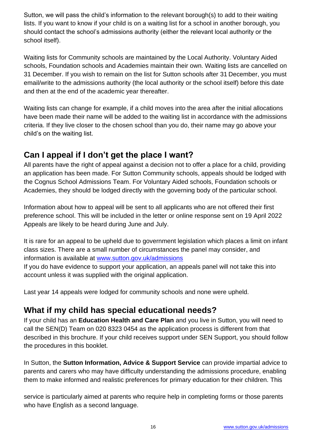Sutton, we will pass the child's information to the relevant borough(s) to add to their waiting lists. If you want to know if your child is on a waiting list for a school in another borough, you should contact the school's admissions authority (either the relevant local authority or the school itself).

Waiting lists for Community schools are maintained by the Local Authority. Voluntary Aided schools, Foundation schools and Academies maintain their own. Waiting lists are cancelled on 31 December. If you wish to remain on the list for Sutton schools after 31 December, you must email/write to the admissions authority (the local authority or the school itself) before this date and then at the end of the academic year thereafter.

Waiting lists can change for example, if a child moves into the area after the initial allocations have been made their name will be added to the waiting list in accordance with the admissions criteria. If they live closer to the chosen school than you do, their name may go above your child's on the waiting list.

#### <span id="page-15-0"></span>**Can I appeal if I don't get the place I want?**

All parents have the right of appeal against a decision not to offer a place for a child, providing an application has been made. For Sutton Community schools, appeals should be lodged with the Cognus School Admissions Team. For Voluntary Aided schools, Foundation schools or Academies, they should be lodged directly with the governing body of the particular school.

Information about how to appeal will be sent to all applicants who are not offered their first preference school. This will be included in the letter or online response sent on 19 April 2022 Appeals are likely to be heard during June and July.

It is rare for an appeal to be upheld due to government legislation which places a limit on infant class sizes. There are a small number of circumstances the panel may consider, and information is available at [www.sutton.gov.uk/admissions](http://www.sutton.gov.uk/admissions)

If you do have evidence to support your application, an appeals panel will not take this into account unless it was supplied with the original application.

Last year 14 appeals were lodged for community schools and none were upheld.

#### <span id="page-15-1"></span>**What if my child has special educational needs?**

If your child has an **Education Health and Care Plan** and you live in Sutton, you will need to call the SEN(D) Team on 020 8323 0454 as the application process is different from that described in this brochure. If your child receives support under SEN Support, you should follow the procedures in this booklet.

In Sutton, the **Sutton Information, Advice & Support Service** can provide impartial advice to parents and carers who may have difficulty understanding the admissions procedure, enabling them to make informed and realistic preferences for primary education for their children. This

service is particularly aimed at parents who require help in completing forms or those parents who have English as a second language.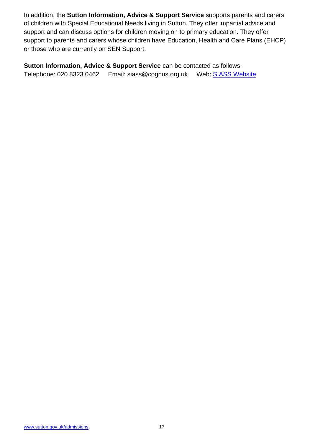In addition, the **Sutton Information, Advice & Support Service** supports parents and carers of children with Special Educational Needs living in Sutton. They offer impartial advice and support and can discuss options for children moving on to primary education. They offer support to parents and carers whose children have Education, Health and Care Plans (EHCP) or those who are currently on SEN Support.

<span id="page-16-0"></span>**Sutton Information, Advice & Support Service** can be contacted as follows: Telephone: 020 8323 0462 Email: siass@cognus.org.uk Web: [SIASS Website](https://www.siass.co.uk/)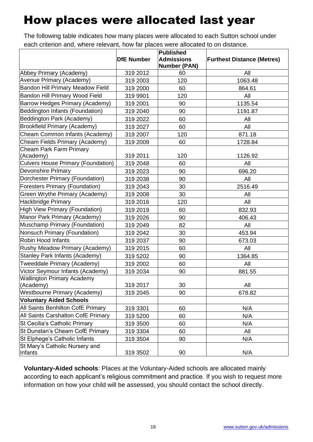## <span id="page-17-1"></span>How places were allocated last year

The following table indicates how many places were allocated to each Sutton school under each criterion and, where relevant, how far places were allocated to on distance.

|                                           |                   | <b>Published</b>          |                                   |  |
|-------------------------------------------|-------------------|---------------------------|-----------------------------------|--|
|                                           | <b>DfE Number</b> | <b>Admissions</b>         | <b>Furthest Distance (Metres)</b> |  |
| Abbey Primary (Academy)                   | 319 2012          | <b>Number (PAN)</b><br>60 | All                               |  |
| Avenue Primary (Academy)                  | 319 2003          | 120                       | 1063.48                           |  |
| <b>Bandon Hill Primary Meadow Field</b>   |                   |                           |                                   |  |
| Bandon Hill Primary Wood Field            | 319 2000          | 60                        | 864.61                            |  |
|                                           | 319 9901          | 120                       | All                               |  |
| Barrow Hedges Primary (Academy)           | 319 2001          | 90                        | 1135.54                           |  |
| Beddington Infants (Foundation)           | 319 2040          | 90                        | 1191.87                           |  |
| Beddington Park (Academy)                 | 319 2022          | 60                        | All                               |  |
| <b>Brookfield Primary (Academy)</b>       | 319 2027          | 60                        | All                               |  |
| Cheam Common Infants (Academy)            | 319 2007          | 120                       | 871.18                            |  |
| Cheam Fields Primary (Academy)            | 319 2009          | 60                        | 1728.84                           |  |
| <b>Cheam Park Farm Primary</b>            |                   |                           |                                   |  |
| (Academy)                                 | 319 2011          | 120                       | 1126.92                           |  |
| <b>Culvers House Primary (Foundation)</b> | 319 2048          | 60                        | All                               |  |
| <b>Devonshire Primary</b>                 | 319 2023          | 90                        | 696.20                            |  |
| Dorchester Primary (Foundation)           | 319 2038          | 90                        | All                               |  |
| <b>Foresters Primary (Foundation)</b>     | 319 2043          | 30                        | 2516.49                           |  |
| Green Wrythe Primary (Academy)            | 319 2008          | 30                        | All                               |  |
| <b>Hackbridge Primary</b>                 | 319 2016          | 120                       | All                               |  |
| <b>High View Primary (Foundation)</b>     | 319 2019          | 60                        | 832.93                            |  |
| Manor Park Primary (Academy)              | 319 2026          | 90                        | 406.43                            |  |
| Muschamp Primary (Foundation)             | 319 2049          | 82                        | All                               |  |
| Nonsuch Primary (Foundation)              | 319 2042          | 30                        | 453.94                            |  |
| Robin Hood Infants                        | 319 2037          | 90                        | 673.03                            |  |
| Rushy Meadow Primary (Academy)            | 319 2015          | 60                        | All                               |  |
| <b>Stanley Park Infants (Academy)</b>     | 319 5202          | 90                        | 1364.85                           |  |
| Tweeddale Primary (Academy)               | 319 2002          | 60                        | All                               |  |
| Victor Seymour Infants (Academy)          | 319 2034          | 90                        | 881.55                            |  |
| <b>Wallington Primary Academy</b>         |                   |                           |                                   |  |
| (Academy)                                 | 319 2017          | 30                        | All                               |  |
| <b>Westbourne Primary (Academy)</b>       | 319 2045          | 90                        | 678.82                            |  |
| <b>Voluntary Aided Schools</b>            |                   |                           |                                   |  |
| All Saints Benhilton CofE Primary         | 319 3301          | 60                        | N/A                               |  |
| All Saints Carshalton CofE Primary        | 319 5200          | 60                        | N/A                               |  |
| St Cecilia's Catholic Primary             | 319 3500          | 60                        | N/A                               |  |
| St Dunstan's Cheam CofE Primary           | 319 3304          | 60                        | All                               |  |
| St Elphege's Catholic Infants             | 319 3504          | 90                        | N/A                               |  |
| St Mary's Catholic Nursery and            |                   |                           |                                   |  |
| Infants                                   | 319 3502          | 90                        | N/A                               |  |

<span id="page-17-0"></span>**Voluntary-Aided schools**: Places at the Voluntary-Aided schools are allocated mainly according to each applicant's religious commitment and practice. If you wish to request more information on how your child will be assessed, you should contact the school directly.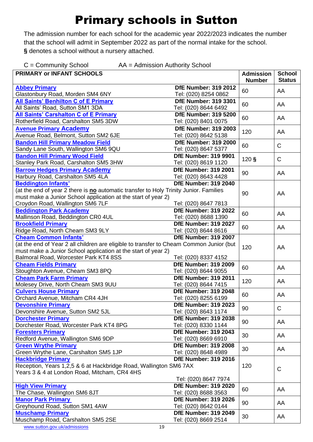## Primary schools in Sutton

The admission number for each school for the academic year 2022/2023 indicates the number that the school will admit in September 2022 as part of the normal intake for the school. **§** denotes a school without a nursery attached.

<span id="page-18-0"></span>

| $C =$ Community School<br>AA = Admission Authority School                                                                                                                                                                         |                                                     |                                   |                                |  |
|-----------------------------------------------------------------------------------------------------------------------------------------------------------------------------------------------------------------------------------|-----------------------------------------------------|-----------------------------------|--------------------------------|--|
| <b>PRIMARY or INFANT SCHOOLS</b>                                                                                                                                                                                                  |                                                     | <b>Admission</b><br><b>Number</b> | <b>School</b><br><b>Status</b> |  |
| <b>Abbey Primary</b><br>Glastonbury Road, Morden SM4 6NY                                                                                                                                                                          | <b>DfE Number: 319 2012</b><br>Tel: (020) 8254 0862 | 60                                | AA                             |  |
| All Saints' Benhilton C of E Primary<br>All Saints' Road, Sutton SM1 3DA                                                                                                                                                          | <b>DfE Number: 319 3301</b><br>Tel: (020) 8644 6492 | 60                                | AA                             |  |
| <b>All Saints' Carshalton C of E Primary</b><br>Rotherfield Road, Carshalton SM5 3DW                                                                                                                                              | <b>DfE Number: 319 5200</b><br>Tel: (020) 8401 0075 | 60                                | AA                             |  |
| <b>Avenue Primary Academy</b><br>Avenue Road, Belmont, Sutton SM2 6JE                                                                                                                                                             | <b>DfE Number: 319 2003</b><br>Tel: (020) 8642 5138 | 120                               | AA                             |  |
| <b>Bandon Hill Primary Meadow Field</b><br>Sandy Lane South, Wallington SM6 9QU                                                                                                                                                   | <b>DfE Number: 319 2000</b><br>Tel: (020) 8647 5377 | 60                                | $\mathsf{C}$                   |  |
| <b>Bandon Hill Primary Wood Field</b>                                                                                                                                                                                             | <b>DfE Number: 319 9901</b>                         | 120S                              | C                              |  |
| Stanley Park Road, Carshalton SM5 3HW<br><b>Barrow Hedges Primary Academy</b>                                                                                                                                                     | Tel: (020) 8619 1120<br><b>DfE Number: 319 2001</b> | 90                                | AA                             |  |
| Harbury Road, Carshalton SM5 4LA<br><b>Beddington Infants'</b>                                                                                                                                                                    | Tel: (020) 8643 4428<br><b>DfE Number: 319 2040</b> |                                   |                                |  |
| (at the end of year 2 there is no automatic transfer to Holy Trinity Junior. Families<br>must make a Junior School application at the start of year 2)<br>Croydon Road, Wallington SM6 7LF                                        | Tel: (020) 8647 7813                                | 90                                | AA                             |  |
| <b>Beddington Park Academy</b>                                                                                                                                                                                                    | <b>DfE Number: 319 2022</b>                         |                                   |                                |  |
| Mallinson Road, Beddington CR0 4UL                                                                                                                                                                                                | Tel: (020) 8688 1390                                | 60                                | AA                             |  |
| <b>Brookfield Primary</b><br>Ridge Road, North Cheam SM3 9LY                                                                                                                                                                      | <b>DfE Number: 319 2027</b><br>Tel: (020) 8644 8616 | 60                                | AA                             |  |
| <b>Cheam Common Infants'</b><br>(at the end of Year 2 all children are eligible to transfer to Cheam Common Junior (but<br>must make a Junior School application at the start of year 2)<br>Balmoral Road, Worcester Park KT4 8SS | <b>DfE Number: 319 2007</b><br>Tel: (020) 8337 4152 | 120                               | AA                             |  |
| <b>Cheam Fields Primary</b><br>Stoughton Avenue, Cheam SM3 8PQ                                                                                                                                                                    | <b>DfE Number: 319 2009</b><br>Tel: (020) 8644 9055 | 60                                | AA                             |  |
| <b>Cheam Park Farm Primary</b><br>Molesey Drive, North Cheam SM3 9UU                                                                                                                                                              | <b>DfE Number: 319 2011</b><br>Tel: (020) 8644 7415 | 120                               | AA                             |  |
| <b>Culvers House Primary</b><br>Orchard Avenue, Mitcham CR4 4JH                                                                                                                                                                   | <b>DfE Number: 319 2048</b><br>Tel: (020) 8255 6199 | 60                                | AA                             |  |
| <b>Devonshire Primary</b><br>Devonshire Avenue, Sutton SM2 5JL                                                                                                                                                                    | <b>DfE Number: 319 2023</b><br>Tel: (020) 8643 1174 | 90                                | $\mathsf{C}$                   |  |
| <b>Dorchester Primary</b><br>Dorchester Road, Worcester Park KT4 8PG                                                                                                                                                              | <b>DfE Number: 319 2038</b><br>Tel: (020) 8330 1144 | 90                                | AA                             |  |
| <b>Foresters Primary</b><br>Redford Avenue, Wallington SM6 9DP                                                                                                                                                                    | <b>DfE Number: 319 2043</b><br>Tel: (020) 8669 6910 | 30                                | AA                             |  |
| <b>Green Wrythe Primary</b><br>Green Wrythe Lane, Carshalton SM5 1JP                                                                                                                                                              | <b>DfE Number: 319 2008</b><br>Tel: (020) 8648 4989 | 30                                | AA                             |  |
| <b>Hackbridge Primary</b><br>Reception, Years 1,2,5 & 6 at Hackbridge Road, Wallington SM6 7AX<br>Years 3 & 4 at London Road, Mitcham, CR4 4HS                                                                                    | <b>DfE Number: 319 2016</b><br>Tel: (020) 8647 7974 | 120                               | $\mathsf C$                    |  |
| <b>High View Primary</b><br>The Chase, Wallington SM6 8JT                                                                                                                                                                         | <b>DfE Number: 319 2020</b><br>Tel: (020) 8688 3563 | 60                                | AA                             |  |
| <b>Manor Park Primary</b><br>Greyhound Road, Sutton SM1 4AW                                                                                                                                                                       | <b>DfE Number: 319 2026</b><br>Tel: (020) 8642 0144 | 90                                | AA                             |  |
| <b>Muschamp Primary</b><br>Muschamp Road, Carshalton SM5 2SE                                                                                                                                                                      | <b>DfE Number: 319 2049</b><br>Tel: (020) 8669 2514 | 30                                | AA                             |  |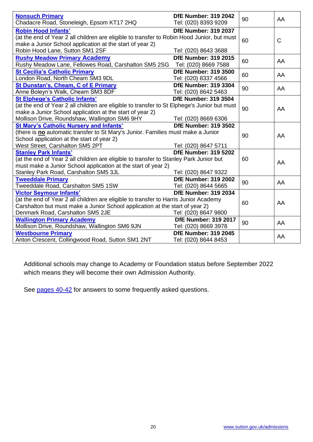| <b>Nonsuch Primary</b><br>Chadacre Road, Stoneleigh, Epsom KT17 2HQ                                                                                                                                                                               | <b>DfE Number: 319 2042</b><br>Tel: (020) 8393 9209 | 90 | AA          |
|---------------------------------------------------------------------------------------------------------------------------------------------------------------------------------------------------------------------------------------------------|-----------------------------------------------------|----|-------------|
| <b>Robin Hood Infants'</b><br>(at the end of Year 2 all children are eligible to transfer to Robin Hood Junior, but must<br>make a Junior School application at the start of year 2)<br>Robin Hood Lane, Sutton SM1 2SF                           | <b>DfE Number: 319 2037</b><br>Tel: (020) 8643 3688 | 60 | $\mathsf C$ |
| <b>Rushy Meadow Primary Academy</b><br>Rushy Meadow Lane, Fellowes Road, Carshalton SM5 2SG                                                                                                                                                       | <b>DfE Number: 319 2015</b><br>Tel: (020) 8669 7588 | 60 | AA          |
| <b>St Cecilia's Catholic Primary</b><br>London Road, North Cheam SM3 9DL                                                                                                                                                                          | <b>DfE Number: 319 3500</b><br>Tel: (020) 8337 4566 | 60 | AA          |
| St Dunstan's, Cheam, C of E Primary<br>Anne Boleyn's Walk, Cheam SM3 8DF                                                                                                                                                                          | <b>DfE Number: 319 3304</b><br>Tel: (020) 8642 5463 | 90 | AA          |
| <b>St Elphege's Catholic Infants'</b><br>(at the end of Year 2 all children are eligible to transfer to St Elphege's Junior but must<br>make a Junior School application at the start of year 2)<br>Mollison Drive, Roundshaw, Wallington SM6 9HY | <b>DfE Number: 319 3504</b><br>Tel: (020) 8669 6306 | 90 | AA          |
| <b>St Mary's Catholic Nursery and Infants'</b><br>(there is no automatic transfer to St Mary's Junior. Families must make a Junior<br>School application at the start of year 2)<br>West Street, Carshalton SM5 2PT                               | <b>DfE Number: 319 3502</b><br>Tel: (020) 8647 5711 | 90 | AA          |
| <b>Stanley Park Infants'</b><br>(at the end of Year 2 all children are eligible to transfer to Stanley Park Junior but<br>must make a Junior School application at the start of year 2)<br>Stanley Park Road, Carshalton SM5 3JL                  | <b>DfE Number: 319 5202</b><br>Tel: (020) 8647 9322 | 60 | AA          |
| <b>Tweeddale Primary</b><br>Tweeddale Road, Carshalton SM5 1SW                                                                                                                                                                                    | <b>DfE Number: 319 2002</b><br>Tel: (020) 8644 5665 | 90 | AA          |
| <b>Victor Seymour Infants'</b><br>(at the end of Year 2 all children are eligible to transfer to Harris Junior Academy<br>Carshalton but must make a Junior School application at the start of year 2)<br>Denmark Road, Carshalton SM5 2JE        | <b>DfE Number: 319 2034</b><br>Tel: (020) 8647 9800 | 60 | AA          |
| <b>Wallington Primary Academy</b><br>Mollison Drive, Roundshaw, Wallington SM6 9JN                                                                                                                                                                | <b>DfE Number: 319 2017</b><br>Tel: (020) 8669 3978 | 90 | AA          |
| <b>Westbourne Primary</b><br>Anton Crescent, Collingwood Road, Sutton SM1 2NT                                                                                                                                                                     | <b>DfE Number: 319 2045</b><br>Tel: (020) 8644 8453 |    | AA          |

Additional schools may change to Academy or Foundation status before September 2022 which means they will become their own Admission Authority.

<span id="page-19-0"></span>See pages  $40-42$  for answers to some frequently asked questions.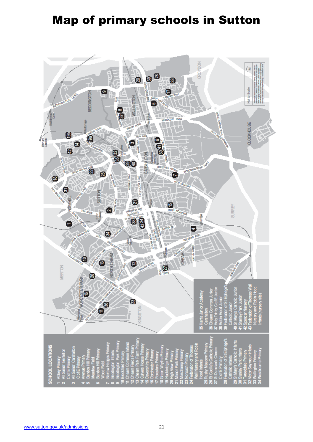## Map of primary schools in Sutton

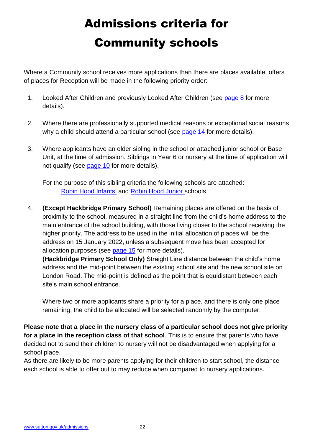## Admissions criteria for Community schools

<span id="page-21-0"></span>Where a Community school receives more applications than there are places available, offers of places for Reception will be made in the following priority order:

- 1. Looked After Children and previously Looked After Children (see [page 8](#page-7-1) for more details).
- 2. Where there are professionally supported medical reasons or exceptional social reasons why a child should attend a particular school (see [page 14](#page-13-1) for more details).
- 3. Where applicants have an older sibling in the school or attached junior school or Base Unit, at the time of admission. Siblings in Year 6 or nursery at the time of application will not qualify (see [page 10](#page-9-1) for more details).

For the purpose of this sibling criteria the following schools are attached: [Robin Hood](http://www.twn-rhi.org.uk/) Infants' and [Robin Hood Junior s](http://www.robinhood-junior.org.uk/)chools

4. **(Except Hackbridge Primary School)** Remaining places are offered on the basis of proximity to the school, measured in a straight line from the child's home address to the main entrance of the school building, with those living closer to the school receiving the higher priority. The address to be used in the initial allocation of places will be the address on 15 January 2022, unless a subsequent move has been accepted for allocation purposes (see [page 15](#page-14-3) for more details).

**(Hackbridge Primary School Only)** Straight Line distance between the child's home address and the mid-point between the existing school site and the new school site on London Road. The mid-point is defined as the point that is equidistant between each site's main school entrance.

Where two or more applicants share a priority for a place, and there is only one place remaining, the child to be allocated will be selected randomly by the computer.

**Please note that a place in the nursery class of a particular school does not give priority for a place in the reception class of that school**. This is to ensure that parents who have decided not to send their children to nursery will not be disadvantaged when applying for a school place.

As there are likely to be more parents applying for their children to start school, the distance each school is able to offer out to may reduce when compared to nursery applications.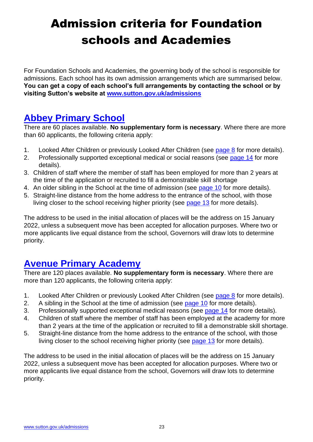## <span id="page-22-0"></span>Admission criteria for Foundation schools and Academies

For Foundation Schools and Academies, the governing body of the school is responsible for admissions. Each school has its own admission arrangements which are summarised below. **You can get a copy of each school's full arrangements by contacting the school or by visiting Sutton's website at [www.sutton.gov.uk/admissions](http://www.sutton.gov.uk/admissions)**

### **[Abbey Primary School](https://www.abbey.sutton.sch.uk/)**

There are 60 places available. **No supplementary form is necessary**. Where there are more than 60 applicants, the following criteria apply:

- 1. Looked After Children or previously Looked After Children (see [page 8](#page-7-1) for more details).
- 2. Professionally supported exceptional medical or social reasons (see [page 14](#page-13-1) for more details).
- 3. Children of staff where the member of staff has been employed for more than 2 years at the time of the application or recruited to fill a demonstrable skill shortage
- 4. An older sibling in the School at the time of admission (see [page 10](#page-9-1) for more details).
- 5. Straight-line distance from the home address to the entrance of the school, with those living closer to the school receiving higher priority (see [page 13](#page-12-2) for more details).

The address to be used in the initial allocation of places will be the address on 15 January 2022, unless a subsequent move has been accepted for allocation purposes. Where two or more applicants live equal distance from the school, Governors will draw lots to determine priority.

### **[Avenue Primary Academy](https://www.avenueprimary.com/)**

There are 120 places available. **No supplementary form is necessary**. Where there are more than 120 applicants, the following criteria apply:

- <span id="page-22-1"></span>1. Looked After Children or previously Looked After Children (see [page 8](#page-7-1) for more details).
- 2. A sibling in the School at the time of admission (see [page 10](#page-9-1) for more details).
- 3. Professionally supported exceptional medical reasons (see [page 14](#page-13-0) for more details).
- 4. Children of staff where the member of staff has been employed at the academy for more than 2 years at the time of the application or recruited to fill a demonstrable skill shortage.
- 5. Straight-line distance from the home address to the entrance of the school, with those living closer to the school receiving higher priority (see [page 13](#page-12-2) for more details).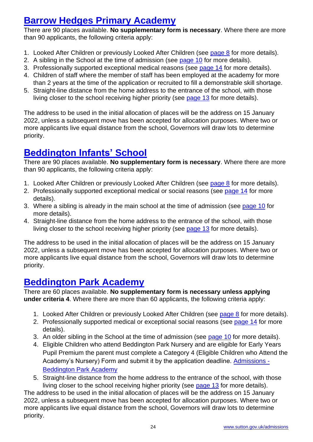### **[Barrow Hedges Primary Academy](https://www.barrowhedges.com/)**

There are 90 places available. **No supplementary form is necessary**. Where there are more than 90 applicants, the following criteria apply:

- 1. Looked After Children or previously Looked After Children (see [page 8](#page-7-1) for more details).
- 2. A sibling in the School at the time of admission (see [page 10](#page-9-1) for more details).
- 3. Professionally supported exceptional medical reasons (see [page 14](#page-13-1) for more details).
- 4. Children of staff where the member of staff has been employed at the academy for more than 2 years at the time of the application or recruited to fill a demonstrable skill shortage.
- 5. Straight-line distance from the home address to the entrance of the school, with those living closer to the school receiving higher priority (see [page 13](#page-12-2) for more details).

The address to be used in the initial allocation of places will be the address on 15 January 2022, unless a subsequent move has been accepted for allocation purposes. Where two or more applicants live equal distance from the school, Governors will draw lots to determine priority.

### **[Beddington Infants' School](http://www.beddingtoninfants.org.uk/)**

There are 90 places available. **No supplementary form is necessary**. Where there are more than 90 applicants, the following criteria apply:

- 1. Looked After Children or previously Looked After Children (see [page 8](#page-7-1) for more details).
- 2. Professionally supported exceptional medical or social reasons (see [page 14](#page-13-1) for more details).
- 3. Where a sibling is already in the main school at the time of admission (see [page 10](#page-9-1) for more details).
- 4. Straight-line distance from the home address to the entrance of the school, with those living closer to the school receiving higher priority (see [page 13](#page-12-2) for more details).

The address to be used in the initial allocation of places will be the address on 15 January 2022, unless a subsequent move has been accepted for allocation purposes. Where two or more applicants live equal distance from the school, Governors will draw lots to determine priority.

### **[Beddington Park Academy](https://beddingtonparkacademy.org/)**

There are 60 places available. **No supplementary form is necessary unless applying under criteria 4**. Where there are more than 60 applicants, the following criteria apply:

- 1. Looked After Children or previously Looked After Children (see [page 8](#page-7-1) for more details).
- 2. Professionally supported medical or exceptional social reasons (see [page 14](#page-13-1) for more details).
- 3. An older sibling in the School at the time of admission (see [page 10](#page-9-1) for more details).
- 4. Eligible Children who attend Beddington Park Nursery and are eligible for Early Years Pupil Premium the parent must complete a Category 4 (Eligible Children who Attend the Academy's Nursery) Form and submit it by the application deadline. [Admissions -](https://beddingtonparkacademy.org/admissions/) [Beddington Park Academy](https://beddingtonparkacademy.org/admissions/)
- 5. Straight-line distance from the home address to the entrance of the school, with those living closer to the school receiving higher priority (see [page 13](#page-12-2) for more details).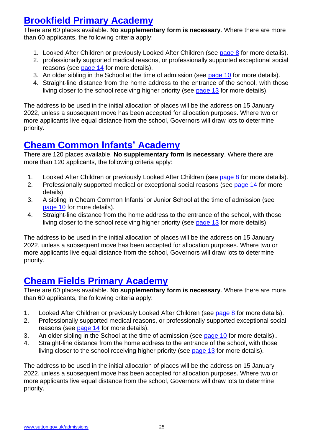### **[Brookfield Primary Academy](http://www.brookfield.sutton.sch.uk/)**

There are 60 places available. **No supplementary form is necessary**. Where there are more than 60 applicants, the following criteria apply:

- 1. Looked After Children or previously Looked After Children (see [page 8](#page-7-1) for more details).
- 2. professionally supported medical reasons, or professionally supported exceptional social reasons (see [page 14](#page-13-1) for more details).
- 3. An older sibling in the School at the time of admission (see [page 10](#page-9-1) for more details).
- 4. Straight-line distance from the home address to the entrance of the school, with those living closer to the school receiving higher priority (see [page 13](#page-12-2) for more details).

The address to be used in the initial allocation of places will be the address on 15 January 2022, unless a subsequent move has been accepted for allocation purposes. Where two or more applicants live equal distance from the school, Governors will draw lots to determine priority.

#### **[Cheam Common](http://www.cheamcommoninfants.com/) Infants' Academy**

There are 120 places available. **No supplementary form is necessary**. Where there are more than 120 applicants, the following criteria apply:

- 1. Looked After Children or previously Looked After Children (see [page 8](#page-7-1) for more details).
- 2. Professionally supported medical or exceptional social reasons (see [page 14](#page-13-1) for more details).
- 3. A sibling in Cheam Common Infants' or Junior School at the time of admission (see [page 10](#page-9-1) for more details).
- 4. Straight-line distance from the home address to the entrance of the school, with those living closer to the school receiving higher priority (see [page 13](#page-12-2) for more details).

The address to be used in the initial allocation of places will be the address on 15 January 2022, unless a subsequent move has been accepted for allocation purposes. Where two or more applicants live equal distance from the school, Governors will draw lots to determine priority.

### **[Cheam Fields Primary Academy](http://www.cheamfieldsprimary.co.uk/)**

There are 60 places available. **No supplementary form is necessary**. Where there are more than 60 applicants, the following criteria apply:

- 1. Looked After Children or previously Looked After Children (see [page 8](#page-7-1) for more details).
- 2. Professionally supported medical reasons, or professionally supported exceptional social reasons (see [page 14](#page-13-1) for more details).
- 3. An older sibling in the School at the time of admission (see [page 10](#page-9-1) for more details)..
- 4. Straight-line distance from the home address to the entrance of the school, with those living closer to the school receiving higher priority (see [page 13](#page-12-2) for more details).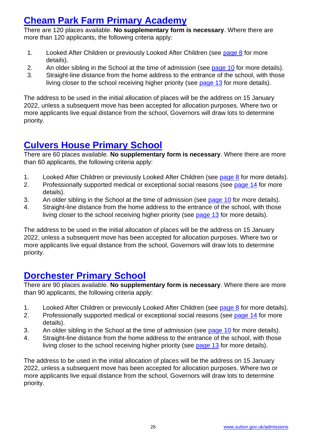### **[Cheam Park Farm Primary](http://www.cheamparkfarmprimary.co.uk/) Academy**

There are 120 places available. **No supplementary form is necessary**. Where there are more than 120 applicants, the following criteria apply:

- 1. Looked After Children or previously Looked After Children (see [page 8](#page-7-1) for more details).
- 2. An older sibling in the School at the time of admission (see [page 10](#page-9-1) for more details).
- 3. Straight-line distance from the home address to the entrance of the school, with those living closer to the school receiving higher priority (see [page 13](#page-12-2) for more details).

The address to be used in the initial allocation of places will be the address on 15 January 2022, unless a subsequent move has been accepted for allocation purposes. Where two or more applicants live equal distance from the school, Governors will draw lots to determine priority.

### **[Culvers House Primary School](http://culvershouse.sutton.sch.uk/)**

There are 60 places available. **No supplementary form is necessary**. Where there are more than 60 applicants, the following criteria apply:

- 1. Looked After Children or previously Looked After Children (see [page 8](#page-7-1) for more details).
- 2. Professionally supported medical or exceptional social reasons (see [page 14](#page-13-1) for more details).
- 3. An older sibling in the School at the time of admission (see [page 10](#page-9-1) for more details).
- 4. Straight-line distance from the home address to the entrance of the school, with those living closer to the school receiving higher priority (see [page 13](#page-12-2) for more details).

The address to be used in the initial allocation of places will be the address on 15 January 2022, unless a subsequent move has been accepted for allocation purposes. Where two or more applicants live equal distance from the school, Governors will draw lots to determine priority.

### **[Dorchester Primary School](https://www.dorchesterprimary.com/)**

There are 90 places available. **No supplementary form is necessary**. Where there are more than 90 applicants, the following criteria apply:

- 1. Looked After Children or previously Looked After Children (see [page 8](#page-7-1) for more details).
- 2. Professionally supported medical or exceptional social reasons (see [page 14](#page-13-1) for more details).
- 3. An older sibling in the School at the time of admission (see [page 10](#page-9-1) for more details).
- 4. Straight-line distance from the home address to the entrance of the school, with those living closer to the school receiving higher priority (see [page 13](#page-12-2) for more details).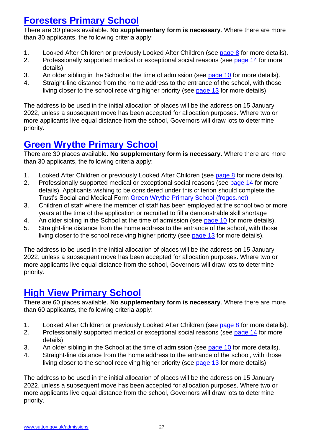### **[Foresters Primary School](http://www.foresters.sutton.sch.uk/)**

There are 30 places available. **No supplementary form is necessary**. Where there are more than 30 applicants, the following criteria apply:

- 1. Looked After Children or previously Looked After Children (see [page 8](#page-7-1) for more details).
- 2. Professionally supported medical or exceptional social reasons (see [page 14](#page-13-1) for more details).
- 3. An older sibling in the School at the time of admission (see [page 10](#page-9-1) for more details).
- 4. Straight-line distance from the home address to the entrance of the school, with those living closer to the school receiving higher priority (see [page 13](#page-12-2) for more details).

The address to be used in the initial allocation of places will be the address on 15 January 2022, unless a subsequent move has been accepted for allocation purposes. Where two or more applicants live equal distance from the school, Governors will draw lots to determine priority.

### **[Green Wrythe Primary School](http://greenwrythe-sutton.frogos.net/app/os#!schoolwebsite/home)**

There are 30 places available. **No supplementary form is necessary**. Where there are more than 30 applicants, the following criteria apply:

- 1. Looked After Children or previously Looked After Children (see [page 8](#page-7-1) for more details).
- 2. Professionally supported medical or exceptional social reasons (see [page 14](#page-13-1) for more details). Applicants wishing to be considered under this criterion should complete the Trust's Social and Medical Form [Green Wrythe Primary School \(frogos.net\)](https://greenwrythe-sutton.frogos.net/app/os#!/join-us/admissions)
- 3. Children of staff where the member of staff has been employed at the school two or more years at the time of the application or recruited to fill a demonstrable skill shortage
- 4. An older sibling in the School at the time of admission (see [page 10](#page-9-1) for more details).
- 5. Straight-line distance from the home address to the entrance of the school, with those living closer to the school receiving higher priority (see [page 13](#page-12-2) for more details).

The address to be used in the initial allocation of places will be the address on 15 January 2022, unless a subsequent move has been accepted for allocation purposes. Where two or more applicants live equal distance from the school, Governors will draw lots to determine priority.

### **[High View Primary School](http://www.highviewprimary.org.uk/)**

There are 60 places available. **No supplementary form is necessary**. Where there are more than 60 applicants, the following criteria apply:

- 1. Looked After Children or previously Looked After Children (see [page 8](#page-7-1) for more details).
- 2. Professionally supported medical or exceptional social reasons (see [page 14](#page-13-1) for more details).
- 3. An older sibling in the School at the time of admission (see [page 10](#page-9-1) for more details).
- 4. Straight-line distance from the home address to the entrance of the school, with those living closer to the school receiving higher priority (see [page 13](#page-12-2) for more details).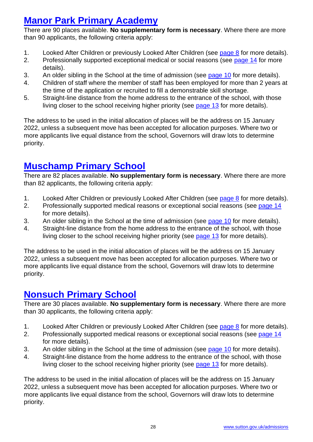### **[Manor Park Primary Academy](http://www.manorparkprimary.co.uk/)**

There are 90 places available. **No supplementary form is necessary**. Where there are more than 90 applicants, the following criteria apply:

- 1. Looked After Children or previously Looked After Children (see [page 8](#page-7-1) for more details).
- 2. Professionally supported exceptional medical or social reasons (see [page 14](#page-13-1) for more details).
- 3. An older sibling in the School at the time of admission (see [page 10](#page-9-1) for more details).
- 4. Children of staff where the member of staff has been employed for more than 2 years at the time of the application or recruited to fill a demonstrable skill shortage.
- 5. Straight-line distance from the home address to the entrance of the school, with those living closer to the school receiving higher priority (see [page 13](#page-12-2) for more details).

The address to be used in the initial allocation of places will be the address on 15 January 2022, unless a subsequent move has been accepted for allocation purposes. Where two or more applicants live equal distance from the school, Governors will draw lots to determine priority.

### **[Muschamp Primary School](http://www.muschamp.org.uk/)**

There are 82 places available. **No supplementary form is necessary**. Where there are more than 82 applicants, the following criteria apply:

- 1. Looked After Children or previously Looked After Children (see [page 8](#page-7-1) for more details).
- 2. Professionally supported medical reasons or exceptional social reasons (see [page 14](#page-13-1) for more details).
- 3. An older sibling in the School at the time of admission (see [page 10](#page-9-1) for more details).
- 4. Straight-line distance from the home address to the entrance of the school, with those living closer to the school receiving higher priority (see [page 13](#page-12-2) for more details).

The address to be used in the initial allocation of places will be the address on 15 January 2022, unless a subsequent move has been accepted for allocation purposes. Where two or more applicants live equal distance from the school, Governors will draw lots to determine priority.

### **[Nonsuch Primary School](http://www.nonsuchprimary.sutton.sch.uk/)**

There are 30 places available. **No supplementary form is necessary**. Where there are more than 30 applicants, the following criteria apply:

- 1. Looked After Children or previously Looked After Children (see [page 8](#page-7-1) for more details).
- 2. Professionally supported medical reasons or exceptional social reasons (see [page 14](#page-13-1) for more details).
- 3. An older sibling in the School at the time of admission (see [page 10](#page-13-1) for more details).
- 4. Straight-line distance from the home address to the entrance of the school, with those living closer to the school receiving higher priority (see [page 13](#page-12-2) for more details).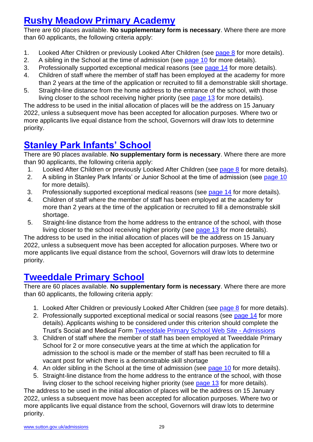### **[Rushy Meadow Primary Academy](https://www.rushymeadowprimary.uk/)**

There are 60 places available. **No supplementary form is necessary**. Where there are more than 60 applicants, the following criteria apply:

- 1. Looked After Children or previously Looked After Children (see [page 8](#page-7-1) for more details).
- 2. A sibling in the School at the time of admission (see [page 10](#page-9-1) for more details).
- 3. Professionally supported exceptional medical reasons (see [page 14](#page-13-1) for more details).
- 4. Children of staff where the member of staff has been employed at the academy for more than 2 years at the time of the application or recruited to fill a demonstrable skill shortage.
- 5. Straight-line distance from the home address to the entrance of the school, with those living closer to the school receiving higher priority (see [page 13](#page-12-2) for more details).

The address to be used in the initial allocation of places will be the address on 15 January 2022, unless a subsequent move has been accepted for allocation purposes. Where two or more applicants live equal distance from the school, Governors will draw lots to determine priority.

### **[Stanley Park Infants' School](http://www.stanleyparkinfants.co.uk/)**

There are 90 places available. **No supplementary form is necessary**. Where there are more than 90 applicants, the following criteria apply:

- 1. Looked After Children or previously Looked After Children (see [page 8](#page-7-1) for more details).
- 2. A sibling in Stanley Park Infants' or Junior School at the time of admission (see [page 10](#page-9-1) for more details).
- 3. Professionally supported exceptional medical reasons (see [page 14](#page-13-1) for more details).
- 4. Children of staff where the member of staff has been employed at the academy for more than 2 years at the time of the application or recruited to fill a demonstrable skill shortage.
- 5. Straight-line distance from the home address to the entrance of the school, with those living closer to the school receiving higher priority (see [page 13](#page-12-2) for more details).

The address to be used in the initial allocation of places will be the address on 15 January 2022, unless a subsequent move has been accepted for allocation purposes. Where two or more applicants live equal distance from the school, Governors will draw lots to determine priority.

### **[Tweeddale Primary School](http://www.tweeddaleprimary.sutton.sch.uk/)**

There are 60 places available. **No supplementary form is necessary**. Where there are more than 60 applicants, the following criteria apply:

- 1. Looked After Children or previously Looked After Children (see [page 8](#page-7-1) for more details).
- 2. Professionally supported exceptional medical or social reasons (see [page 14](#page-13-1) for more details). Applicants wishing to be considered under this criterion should complete the Trust's Social and Medical Form [Tweeddale Primary School Web Site -](https://www.tweeddaleprimary.sutton.sch.uk/admissions.php) Admissions
- 3. Children of staff where the member of staff has been employed at Tweeddale Primary School for 2 or more consecutive years at the time at which the application for admission to the school is made or the member of staff has been recruited to fill a vacant post for which there is a demonstrable skill shortage
- 4. An older sibling in the School at the time of admission (see [page 10](#page-9-1) for more details).
- 5. Straight-line distance from the home address to the entrance of the school, with those living closer to the school receiving higher priority (see [page 13](#page-12-2) for more details).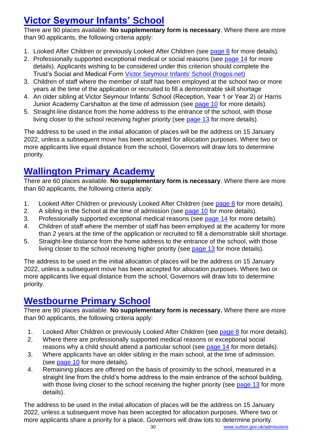### **[Victor Seymour Infants' School](https://victorseymour-sutton.frogos.net/app/os#!schoolwebsite/home)**

There are 90 places available. **No supplementary form is necessary**. Where there are more than 90 applicants, the following criteria apply:

- 1. Looked After Children or previously Looked After Children (see [page 8](#page-7-1) for more details).
- 2. Professionally supported exceptional medical or social reasons (see [page 14](#page-13-1) for more details). Applicants wishing to be considered under this criterion should complete the Trust's Social and Medical Form [Victor Seymour Infants' School \(frogos.net\)](https://victorseymour-sutton.frogos.net/app/os#!/about-us/admissions/school-admissions)
- 3. Children of staff where the member of staff has been employed at the school two or more years at the time of the application or recruited to fill a demonstrable skill shortage
- 4. An older sibling at Victor Seymour Infants' School (Reception, Year 1 or Year 2) or Harris Junior Academy Carshalton at the time of admission (see [page 10](#page-9-1) for more details).
- 5. Straight-line distance from the home address to the entrance of the school, with those living closer to the school receiving higher priority (see [page 13](#page-12-2) for more details).

The address to be used in the initial allocation of places will be the address on 15 January 2022, unless a subsequent move has been accepted for allocation purposes. Where two or more applicants live equal distance from the school, Governors will draw lots to determine priority.

### **Wallington [Primary Academy](https://www.wallingtonprimary.uk/)**

There are 60 places available. **No supplementary form is necessary**. Where there are more than 60 applicants, the following criteria apply:

- 1. Looked After Children or previously Looked After Children (see [page 8](#page-7-1) for more details).
- 2. A sibling in the School at the time of admission (see [page 10](#page-9-1) for more details).
- 3. Professionally supported exceptional medical reasons (see [page 14](#page-13-1) for more details).
- 4. Children of staff where the member of staff has been employed at the academy for more than 2 years at the time of the application or recruited to fill a demonstrable skill shortage.
- 5. Straight-line distance from the home address to the entrance of the school, with those living closer to the school receiving higher priority (see [page 13](#page-12-2) for more details).

The address to be used in the initial allocation of places will be the address on 15 January 2022, unless a subsequent move has been accepted for allocation purposes. Where two or more applicants live equal distance from the school, Governors will draw lots to determine priority.

### **[Westbourne Primary School](http://www.westbourne.sutton.sch.uk/)**

There are 90 places available. **No supplementary form is necessary.** Where there are more than 90 applicants, the following criteria apply:

- 1. Looked After Children or previously Looked After Children (see [page 8](#page-7-1) for more details).
- 2. Where there are professionally supported medical reasons or exceptional social reasons why a child should attend a particular school (see [page 14](#page-13-1) for more details).
- 3. Where applicants have an older sibling in the main school, at the time of admission. (see [page 10](#page-9-1) for more details).
- 4. Remaining places are offered on the basis of proximity to the school, measured in a straight line from the child's home address to the main entrance of the school building, with those living closer to the school receiving the higher priority (see [page 13](#page-12-2) for more details).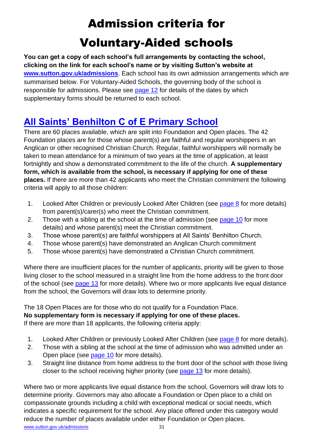## Admission criteria for Voluntary-Aided schools

<span id="page-30-0"></span>**You can get a copy of each school's full arrangements by contacting the school, clicking on the link for each school's name or by visiting Sutton's website at [www.sutton.gov.uk/admissions](http://www.sutton.gov.uk/admissions)**. Each school has its own admission arrangements which are summarised below. For Voluntary-Aided Schools, the governing body of the school is responsible for admissions. Please see [page 12](#page-10-1) for details of the dates by which supplementary forms should be returned to each school.

### **[All Saints' Benhilton C of E Primary School](http://www.allsaintsbenhilton.org.uk/)**

There are 60 places available, which are split into Foundation and Open places. The 42 Foundation places are for those whose parent(s) are faithful and regular worshippers in an Anglican or other recognised Christian Church. Regular, faithful worshippers will normally be taken to mean attendance for a minimum of two years at the time of application, at least fortnightly and show a demonstrated commitment to the life of the church. **A supplementary form, which is available from the school, is necessary if applying for one of these places.** If there are more than 42 applicants who meet the Christian commitment the following criteria will apply to all those children:

- 1. Looked After Children or previously Looked After Children (see [page 8](#page-7-1) for more details) from parent(s)/carer(s) who meet the Christian commitment.
- 2. Those with a sibling at the school at the time of admission (see [page 10](#page-9-1) for more details) and whose parent(s) meet the Christian commitment.
- 3. Those whose parent(s) are faithful worshippers at All Saints' Benhilton Church.
- 4. Those whose parent(s) have demonstrated an Anglican Church commitment
- 5. Those whose parent(s) have demonstrated a Christian Church commitment.

Where there are insufficient places for the number of applicants, priority will be given to those living closer to the school measured in a straight line from the home address to the front door of the school (see [page 13](#page-12-2) for more details). Where two or more applicants live equal distance from the school, the Governors will draw lots to determine priority.

### The 18 Open Places are for those who do not qualify for a Foundation Place.

**No supplementary form is necessary if applying for one of these places.**

If there are more than 18 applicants, the following criteria apply:

- 1. Looked After Children or previously Looked After Children (see [page 8](#page-7-1) for more details).
- 2. Those with a sibling at the school at the time of admission who was admitted under an Open place (see [page 10](#page-9-1) for more details).
- 3. Straight line distance from home address to the front door of the school with those living closer to the school receiving higher priority (see [page 13](#page-12-2) for more details).

Where two or more applicants live equal distance from the school, Governors will draw lots to determine priority. Governors may also allocate a Foundation or Open place to a child on compassionate grounds including a child with exceptional medical or social needs, which indicates a specific requirement for the school. Any place offered under this category would reduce the number of places available under either Foundation or Open places.

[www.sutton.gov.uk/admissions](http://www.sutton.gov.uk/admissions) 31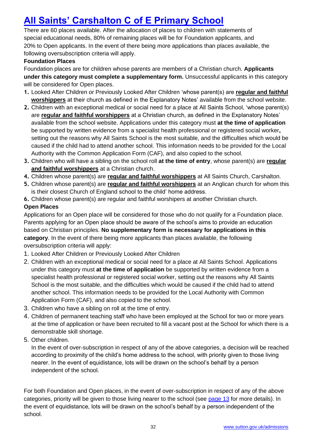### **[All Saints' Carshalton C of E Primary School](http://www.allsaintscarshalton.sutton.sch.uk/)**

There are 60 places available. After the allocation of places to children with statements of special educational needs, 80% of remaining places will be for Foundation applicants, and 20% to Open applicants. In the event of there being more applications than places available, the following oversubscription criteria will apply.

#### **Foundation Places**

Foundation places are for children whose parents are members of a Christian church. **Applicants under this category must complete a supplementary form.** Unsuccessful applicants in this category will be considered for Open places.

- **1.** Looked After Children or Previously Looked After Children 'whose parent(s) are **regular and faithful worshippers** at their church as defined in the Explanatory Notes' available from the school website.
- **2.** Children with an exceptional medical or social need for a place at All Saints School, 'whose parent(s) are **regular and faithful worshippers** at a Christian church, as defined in the Explanatory Notes' available from the school website. Applications under this category must **at the time of application** be supported by written evidence from a specialist health professional or registered social worker**,** setting out the reasons why All Saints School is the most suitable, and the difficulties which would be caused if the child had to attend another school. This information needs to be provided for the Local Authority with the Common Application Form (CAF), and also copied to the school.
- **3.** Children who will have a sibling on the school roll **at the time of entry**, whose parent(s) are **regular and faithful worshippers** at a Christian church.
- **4.** Children whose parent(s) are **regular and faithful worshippers** at All Saints Church, Carshalton.
- **5.** Children whose parent(s) are **regular and faithful worshippers** at an Anglican church for whom this is their closest Church of England school to the child' home address.
- **6.** Children whose parent(s) are regular and faithful worshipers at another Christian church.

#### **Open Places**

Applications for an Open place will be considered for those who do not qualify for a Foundation place. Parents applying for an Open place should be aware of the school's aims to provide an education based on Christian principles. **No supplementary form is necessary for applications in this category**. In the event of there being more applicants than places available, the following oversubscription criteria will apply:

- 1. Looked After Children or Previously Looked After Children
- 2. Children with an exceptional medical or social need for a place at All Saints School. Applications under this category must **at the time of application** be supported by written evidence from a specialist health professional or registered social worker, setting out the reasons why All Saints School is the most suitable, and the difficulties which would be caused if the child had to attend another school. This information needs to be provided for the Local Authority with Common Application Form (CAF), and also copied to the school.
- 3. Children who have a sibling on roll at the time of entry.
- 4. Children of permanent teaching staff who have been employed at the School for two or more years at the time of application or have been recruited to fill a vacant post at the School for which there is a demonstrable skill shortage.
- 5. Other children.

In the event of over-subscription in respect of any of the above categories, a decision will be reached according to proximity of the child's home address to the school, with priority given to those living nearer. In the event of equidistance, lots will be drawn on the school's behalf by a person independent of the school.

For both Foundation and Open places, in the event of over-subscription in respect of any of the above categories, priority will be given to those living nearer to the school (see [page 13](#page-12-4) for more details). In the event of equidistance, lots will be drawn on the school's behalf by a person independent of the school.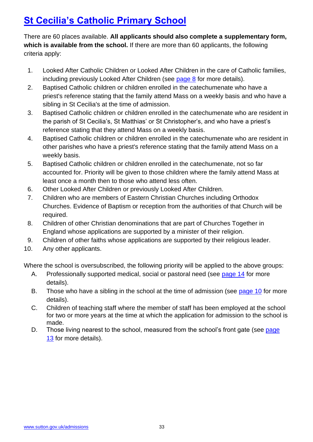### **[St Cecilia's Catholic Primary School](https://www.stcecilias.school/)**

There are 60 places available. **All applicants should also complete a supplementary form, which is available from the school.** If there are more than 60 applicants, the following criteria apply:

- 1. Looked After Catholic Children or Looked After Children in the care of Catholic families, including previously Looked After Children (see [page 8](#page-7-1) for more details).
- 2. Baptised Catholic children or children enrolled in the catechumenate who have a priest's reference stating that the family attend Mass on a weekly basis and who have a sibling in St Cecilia's at the time of admission.
- 3. Baptised Catholic children or children enrolled in the catechumenate who are resident in the parish of St Cecilia's, St Matthias' or St Christopher's, and who have a priest's reference stating that they attend Mass on a weekly basis.
- 4. Baptised Catholic children or children enrolled in the catechumenate who are resident in other parishes who have a priest's reference stating that the family attend Mass on a weekly basis.
- 5. Baptised Catholic children or children enrolled in the catechumenate, not so far accounted for. Priority will be given to those children where the family attend Mass at least once a month then to those who attend less often.
- 6. Other Looked After Children or previously Looked After Children.
- 7. Children who are members of Eastern Christian Churches including Orthodox Churches. Evidence of Baptism or reception from the authorities of that Church will be required.
- 8. Children of other Christian denominations that are part of Churches Together in England whose applications are supported by a minister of their religion.
- 9. Children of other faiths whose applications are supported by their religious leader.
- 10. Any other applicants.

Where the school is oversubscribed, the following priority will be applied to the above groups:

- A. Professionally supported medical, social or pastoral need (see [page 14](#page-13-1) for more details).
- B. Those who have a sibling in the school at the time of admission (see [page 10](#page-9-1) for more details).
- C. Children of teaching staff where the member of staff has been employed at the school for two or more years at the time at which the application for admission to the school is made.
- D. Those living nearest to the school, measured from the school's front gate (see page [13](#page-12-4) for more details).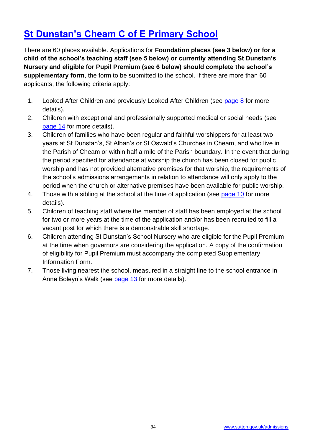### **[St Dunstan's Cheam C of E Primary School](http://www.stdunstans.sutton.sch.uk/)**

There are 60 places available. Applications for **Foundation places (see 3 below) or for a child of the school's teaching staff (see 5 below) or currently attending St Dunstan's Nursery and eligible for Pupil Premium (see 6 below) should complete the school's supplementary form**, the form to be submitted to the school. If there are more than 60 applicants, the following criteria apply:

- 1. Looked After Children and previously Looked After Children (see [page 8](#page-7-1) for more details).
- 2. Children with exceptional and professionally supported medical or social needs (see [page 14](#page-13-1) for more details).
- 3. Children of families who have been regular and faithful worshippers for at least two years at St Dunstan's, St Alban's or St Oswald's Churches in Cheam, and who live in the Parish of Cheam or within half a mile of the Parish boundary. In the event that during the period specified for attendance at worship the church has been closed for public worship and has not provided alternative premises for that worship, the requirements of the school's admissions arrangements in relation to attendance will only apply to the period when the church or alternative premises have been available for public worship.
- 4. Those with a sibling at the school at the time of application (see [page 10](#page-9-1) for more details).
- 5. Children of teaching staff where the member of staff has been employed at the school for two or more years at the time of the application and/or has been recruited to fill a vacant post for which there is a demonstrable skill shortage.
- 6. Children attending St Dunstan's School Nursery who are eligible for the Pupil Premium at the time when governors are considering the application. A copy of the confirmation of eligibility for Pupil Premium must accompany the completed Supplementary Information Form.
- 7. Those living nearest the school, measured in a straight line to the school entrance in Anne Boleyn's Walk (see [page 13](#page-12-2) for more details).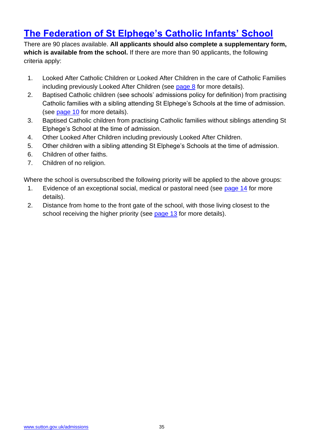### **[The Federation of St Elphege's Catholic Infants' School](http://www.stelphegesrcschools.org.uk/)**

There are 90 places available. **All applicants should also complete a supplementary form, which is available from the school.** If there are more than 90 applicants, the following criteria apply:

- 1. Looked After Catholic Children or Looked After Children in the care of Catholic Families including previously Looked After Children (see [page 8](#page-7-1) for more details).
- 2. Baptised Catholic children (see schools' admissions policy for definition) from practising Catholic families with a sibling attending St Elphege's Schools at the time of admission. (see [page 10](#page-9-1) for more details).
- 3. Baptised Catholic children from practising Catholic families without siblings attending St Elphege's School at the time of admission.
- 4. Other Looked After Children including previously Looked After Children.
- 5. Other children with a sibling attending St Elphege's Schools at the time of admission.
- 6. Children of other faiths.
- 7. Children of no religion.

Where the school is oversubscribed the following priority will be applied to the above groups:

- 1. Evidence of an exceptional social, medical or pastoral need (see [page 14](#page-13-1) for more details).
- <span id="page-34-0"></span>2. Distance from home to the front gate of the school, with those living closest to the school receiving the higher priority (see [page 13](#page-12-2) for more details).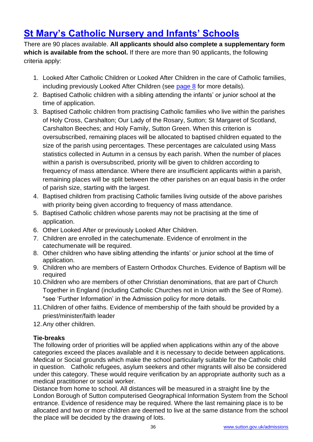### **[St Mary's Catholic Nursery and Infants' Schools](http://www.stmarysinfschool.org.uk/)**

There are 90 places available. **All applicants should also complete a supplementary form which is available from the school.** If there are more than 90 applicants, the following criteria apply:

- 1. Looked After Catholic Children or Looked After Children in the care of Catholic families, including previously Looked After Children (see [page 8](#page-7-1) for more details).
- 2. Baptised Catholic children with a sibling attending the infants' or junior school at the time of application.
- 3. Baptised Catholic children from practising Catholic families who live within the parishes of Holy Cross, Carshalton; Our Lady of the Rosary, Sutton; St Margaret of Scotland, Carshalton Beeches; and Holy Family, Sutton Green. When this criterion is oversubscribed, remaining places will be allocated to baptised children equated to the size of the parish using percentages. These percentages are calculated using Mass statistics collected in Autumn in a census by each parish. When the number of places within a parish is oversubscribed, priority will be given to children according to frequency of mass attendance. Where there are insufficient applicants within a parish, remaining places will be split between the other parishes on an equal basis in the order of parish size, starting with the largest.
- 4. Baptised children from practising Catholic families living outside of the above parishes with priority being given according to frequency of mass attendance.
- 5. Baptised Catholic children whose parents may not be practising at the time of application.
- 6. Other Looked After or previously Looked After Children.
- 7. Children are enrolled in the catechumenate. Evidence of enrolment in the catechumenate will be required.
- 8. Other children who have sibling attending the infants' or junior school at the time of application.
- 9. Children who are members of Eastern Orthodox Churches. Evidence of Baptism will be required
- 10.Children who are members of other Christian denominations, that are part of Church Together in England (including Catholic Churches not in Union with the See of Rome). \*see 'Further Information' in the Admission policy for more details.
- 11.Children of other faiths. Evidence of membership of the faith should be provided by a priest/minister/faith leader
- 12.Any other children.

#### **Tie-breaks**

The following order of priorities will be applied when applications within any of the above categories exceed the places available and it is necessary to decide between applications. Medical or Social grounds which make the school particularly suitable for the Catholic child in question. Catholic refugees, asylum seekers and other migrants will also be considered under this category. These would require verification by an appropriate authority such as a medical practitioner or social worker.

Distance from home to school. All distances will be measured in a straight line by the London Borough of Sutton computerised Geographical Information System from the School entrance. Evidence of residence may be required. Where the last remaining place is to be allocated and two or more children are deemed to live at the same distance from the school the place will be decided by the drawing of lots.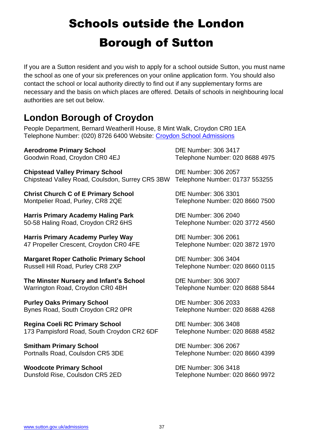## <span id="page-36-0"></span>Schools outside the London Borough of Sutton

If you are a Sutton resident and you wish to apply for a school outside Sutton, you must name the school as one of your six preferences on your online application form. You should also contact the school or local authority directly to find out if any supplementary forms are necessary and the basis on which places are offered. Details of schools in neighbouring local authorities are set out below.

### **London Borough of Croydon**

People Department, Bernard Weatherill House, 8 Mint Walk, Croydon CR0 1EA Telephone Number: (020) 8726 6400 Website: [Croydon School Admissions](https://www.croydon.gov.uk/schools-and-education)

**Aerodrome Primary School**  DfE Number: 306 3417

**Chipstead Valley Primary School** DfE Number: 306 2057 Chipstead Valley Road, Coulsdon, Surrey CR5 3BW Telephone Number: 01737 553255

**Christ Church C of E Primary School Die Number: 306 3301** Montpelier Road, Purley, CR8 2QE Telephone Number: 020 8660 7500

**Harris Primary Academy Haling Park** DfE Number: 306 2040 50-58 Haling Road, Croydon CR2 6HS Telephone Number: 020 3772 4560

**Harris Primary Academy Purley Way** DfE Number: 306 2061 47 Propeller Crescent, Croydon CR0 4FE Telephone Number: 020 3872 1970

**Margaret Roper Catholic Primary School Digel Differd Number: 306 3404** Russell Hill Road, Purley CR8 2XP Telephone Number: 020 8660 0115

**The Minster Nursery and Infant's School Die Number: 306 3007** Warrington Road, Croydon CR0 4BH Telephone Number: 020 8688 5844

**Purley Oaks Primary School**  DfE Number: 306 2033 Bynes Road, South Croydon CR2 0PR Telephone Number: 020 8688 4268

**Regina Coeli RC Primary School <b>Diversion** DfE Number: 306 3408 173 Pampisford Road, South Croydon CR2 6DF Telephone Number: 020 8688 4582

**Smitham Primary School**  DfE Number: 306 2067

**Woodcote Primary School Dife Number: 306 3418** 

Goodwin Road, Croydon CR0 4EJ Telephone Number: 020 8688 4975

Portnalls Road, Coulsdon CR5 3DE Telephone Number: 020 8660 4399

Dunsfold Rise, Coulsdon CR5 2ED Telephone Number: 020 8660 9972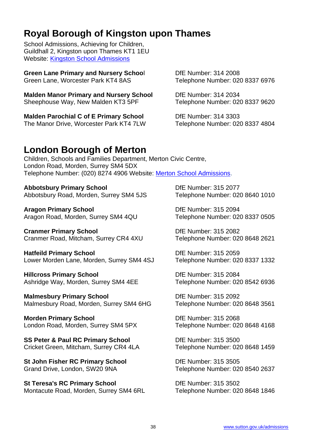### **Royal Borough of Kingston upon Thames**

School Admissions, Achieving for Children, Guildhall 2, Kingston upon Thames KT1 1EU Website: [Kingston School Admissions](https://www.kingston.gov.uk/homepage/5/schools-and-education)

**Green Lane Primary and Nursery School Canadian DfE Number: 314 2008** Green Lane, Worcester Park KT4 8AS Telephone Number: 020 8337 6976

**Malden Manor Primary and Nursery School Dife Number: 314 2034** Sheephouse Way, New Malden KT3 5PF Telephone Number: 020 8337 9620

**Malden Parochial C of E Primary School Digel Differd Number: 314 3303** The Manor Drive, Worcester Park KT4 7LW Telephone Number: 020 8337 4804

#### **London Borough of Merton**

Children, Schools and Families Department, Merton Civic Centre, London Road, Morden, Surrey SM4 5DX Telephone Number: (020) 8274 4906 Website: [Merton School Admissions.](http://www.merton.gov.uk/admissions)

#### Abbotsbury Primary School **Digest Control** DfE Number: 315 2077

Abbotsbury Road, Morden, Surrey SM4 5JS Telephone Number: 020 8640 1010

**Aragon Primary School**  DfE Number: 315 2094 Aragon Road, Morden, Surrey SM4 4QU Telephone Number: 020 8337 0505

**Cranmer Primary School Cranmer: 315 2082** Cranmer Road, Mitcham, Surrey CR4 4XU Telephone Number: 020 8648 2621

**Hatfeild Primary School Die Number: 315 2059** Lower Morden Lane, Morden, Surrey SM4 4SJ Telephone Number: 020 8337 1332

**Hillcross Primary School** DfE Number: 315 2084 Ashridge Way, Morden, Surrey SM4 4EE Telephone Number: 020 8542 6936

**Malmesbury Primary School**  DfE Number: 315 2092 Malmesbury Road, Morden, Surrey SM4 6HG Telephone Number: 020 8648 3561

**Morden Primary School**  DfE Number: 315 2068 London Road, Morden, Surrey SM4 5PX Telephone Number: 020 8648 4168

**SS Peter & Paul RC Primary School DE Number: 315 3500** Cricket Green, Mitcham, Surrey CR4 4LA Telephone Number: 020 8648 1459

**St John Fisher RC Primary School DE Number: 315 3505** Grand Drive, London, SW20 9NA Telephone Number: 020 8540 2637

**St Teresa's RC Primary School Die Die Number: 315 3502** Montacute Road, Morden, Surrey SM4 6RL Telephone Number: 020 8648 1846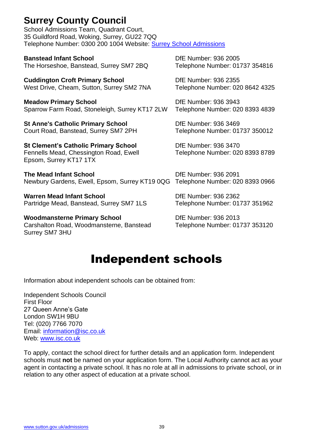### **Surrey County Council**

School Admissions Team, Quadrant Court, 35 Guildford Road, Woking, Surrey, GU22 7QQ Telephone Number: 0300 200 1004 Website: [Surrey School Admissions](https://www.surreycc.gov.uk/schools-and-learning/schools/admissions)

**Banstead Infant School Die Example 2005** DfE Number: 936 2005 The Horseshoe, Banstead, Surrey SM7 2BQ Telephone Number: 01737 354816

**Cuddington Croft Primary School Cuddington Croft Primary School Cult Commence DfE Number: 936 2355** West Drive, Cheam, Sutton, Surrey SM2 7NA Telephone Number: 020 8642 4325

**Meadow Primary School**  DfE Number: 936 3943 Sparrow Farm Road, Stoneleigh, Surrey KT17 2LW Telephone Number: 020 8393 4839

**St Anne's Catholic Primary School <b>Diges Catholic Primary School** DfE Number: 936 3469 Court Road, Banstead, Surrey SM7 2PH Telephone Number: 01737 350012

**St Clement's Catholic Primary School** DfE Number: 936 3470 Fennells Mead, Chessington Road, Ewell Telephone Number: 020 8393 8789 Epsom, Surrey KT17 1TX

**The Mead Infant School Die Die Number: 936 2091** Newbury Gardens, Ewell, Epsom, Surrey KT19 0QG Telephone Number: 020 8393 0966

**Warren Mead Infant School Charlotter Control Control Dividends Different Page 2362** Partridge Mead, Banstead, Surrey SM7 1LS Telephone Number: 01737 351962

Woodmansterne Primary School **Diges Company** DfE Number: 936 2013 Carshalton Road, Woodmansterne, Banstead Telephone Number: 01737 353120 Surrey SM7 3HU

## Independent schools

<span id="page-38-0"></span>Information about independent schools can be obtained from:

Independent Schools Council First Floor 27 Queen Anne's Gate London SW1H 9BU Tel: (020) 7766 7070 Email: [information@isc.co.uk](mailto:information@isc.co.uk) Web: [www.isc.co.uk](http://www.isc.co.uk/)

To apply, contact the school direct for further details and an application form. Independent schools must **not** be named on your application form. The Local Authority cannot act as your agent in contacting a private school. It has no role at all in admissions to private school, or in relation to any other aspect of education at a private school.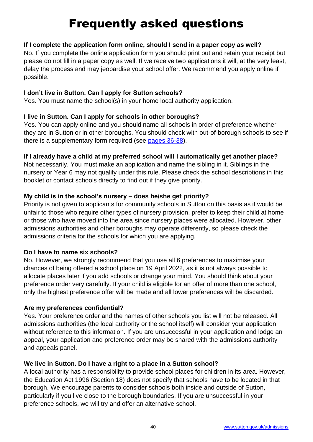## Frequently asked questions

#### <span id="page-39-0"></span>**If I complete the application form online, should I send in a paper copy as well?**

No. If you complete the online application form you should print out and retain your receipt but please do not fill in a paper copy as well. If we receive two applications it will, at the very least, delay the process and may jeopardise your school offer. We recommend you apply online if possible.

#### **I don't live in Sutton. Can I apply for Sutton schools?**

Yes. You must name the school(s) in your home local authority application.

#### **I live in Sutton. Can I apply for schools in other boroughs?**

Yes. You can apply online and you should name all schools in order of preference whether they are in Sutton or in other boroughs. You should check with out-of-borough schools to see if there is a supplementary form required (see [pages 36-38\)](#page-36-0).

#### **If I already have a child at my preferred school will I automatically get another place?**

Not necessarily. You must make an application and name the sibling in it. Siblings in the nursery or Year 6 may not qualify under this rule. Please check the school descriptions in this booklet or contact schools directly to find out if they give priority.

#### **My child is in the school's nursery – does he/she get priority?**

Priority is not given to applicants for community schools in Sutton on this basis as it would be unfair to those who require other types of nursery provision, prefer to keep their child at home or those who have moved into the area since nursery places were allocated. However, other admissions authorities and other boroughs may operate differently, so please check the admissions criteria for the schools for which you are applying.

#### **Do I have to name six schools?**

No. However, we strongly recommend that you use all 6 preferences to maximise your chances of being offered a school place on 19 April 2022, as it is not always possible to allocate places later if you add schools or change your mind. You should think about your preference order very carefully. If your child is eligible for an offer of more than one school, only the highest preference offer will be made and all lower preferences will be discarded.

#### **Are my preferences confidential?**

Yes. Your preference order and the names of other schools you list will not be released. All admissions authorities (the local authority or the school itself) will consider your application without reference to this information. If you are unsuccessful in your application and lodge an appeal, your application and preference order may be shared with the admissions authority and appeals panel.

#### **We live in Sutton. Do I have a right to a place in a Sutton school?**

A local authority has a responsibility to provide school places for children in its area. However, the Education Act 1996 (Section 18) does not specify that schools have to be located in that borough. We encourage parents to consider schools both inside and outside of Sutton, particularly if you live close to the borough boundaries. If you are unsuccessful in your preference schools, we will try and offer an alternative school.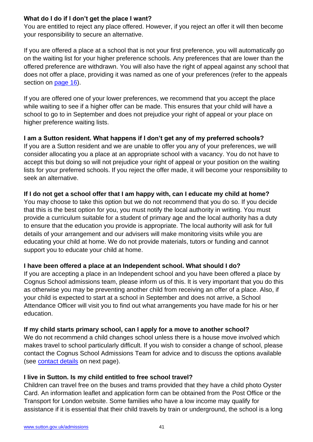#### **What do I do if I don't get the place I want?**

You are entitled to reject any place offered. However, if you reject an offer it will then become your responsibility to secure an alternative.

If you are offered a place at a school that is not your first preference, you will automatically go on the waiting list for your higher preference schools. Any preferences that are lower than the offered preference are withdrawn. You will also have the right of appeal against any school that does not offer a place, providing it was named as one of your preferences (refer to the appeals section on [page 16\)](#page-15-0).

If you are offered one of your lower preferences, we recommend that you accept the place while waiting to see if a higher offer can be made. This ensures that your child will have a school to go to in September and does not prejudice your right of appeal or your place on higher preference waiting lists.

#### **I am a Sutton resident. What happens if I don't get any of my preferred schools?** If you are a Sutton resident and we are unable to offer you any of your preferences, we will consider allocating you a place at an appropriate school with a vacancy. You do not have to accept this but doing so will not prejudice your right of appeal or your position on the waiting lists for your preferred schools. If you reject the offer made, it will become your responsibility to seek an alternative.

#### **If I do not get a school offer that I am happy with, can I educate my child at home?**

You may choose to take this option but we do not recommend that you do so. If you decide that this is the best option for you, you must notify the local authority in writing. You must provide a curriculum suitable for a student of primary age and the local authority has a duty to ensure that the education you provide is appropriate. The local authority will ask for full details of your arrangement and our advisers will make monitoring visits while you are educating your child at home. We do not provide materials, tutors or funding and cannot support you to educate your child at home.

#### **I have been offered a place at an Independent school. What should I do?**

If you are accepting a place in an Independent school and you have been offered a place by Cognus School admissions team, please inform us of this. It is very important that you do this as otherwise you may be preventing another child from receiving an offer of a place. Also, if your child is expected to start at a school in September and does not arrive, a School Attendance Officer will visit you to find out what arrangements you have made for his or her education.

#### **If my child starts primary school, can I apply for a move to another school?**

We do not recommend a child changes school unless there is a house move involved which makes travel to school particularly difficult. If you wish to consider a change of school, please contact the Cognus School Admissions Team for advice and to discuss the options available (see [contact details](#page-10-1) on next page).

#### **I live in Sutton. Is my child entitled to free school travel?**

Children can travel free on the buses and trams provided that they have a child photo Oyster Card. An information leaflet and application form can be obtained from the Post Office or the Transport for London website. Some families who have a low income may qualify for assistance if it is essential that their child travels by train or underground, the school is a long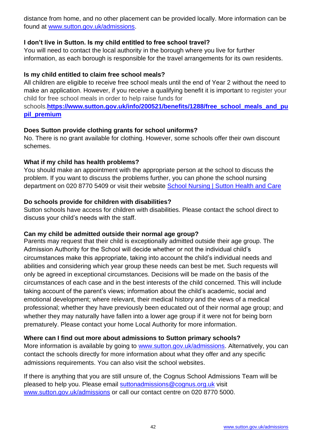distance from home, and no other placement can be provided locally. More information can be found at [www.sutton.gov.uk/admissions.](http://www.sutton.gov.uk/admissions)

#### **I don't live in Sutton. Is my child entitled to free school travel?**

You will need to contact the local authority in the borough where you live for further information, as each borough is responsible for the travel arrangements for its own residents.

#### **Is my child entitled to claim free school meals?**

All children are eligible to receive free school meals until the end of Year 2 without the need to make an application. However, if you receive a qualifying benefit it is important to register your child for free school meals in order to help raise funds for

schools.[https://www.sutton.gov.uk/info/200521/benefits/1288/free\\_school\\_meals\\_and\\_pu](https://www.sutton.gov.uk/info/200521/benefits/1288/free_school_meals_and_pupil_premium) **[pil\\_premium](https://www.sutton.gov.uk/info/200521/benefits/1288/free_school_meals_and_pupil_premium)**

#### **Does Sutton provide clothing grants for school uniforms?**

No. There is no grant available for clothing. However, some schools offer their own discount schemes.

#### **What if my child has health problems?**

You should make an appointment with the appropriate person at the school to discuss the problem. If you want to discuss the problems further, you can phone the school nursing department on 020 8770 5409 or visit their website **School Nursing | Sutton Health and Care** 

#### **Do schools provide for children with disabilities?**

Sutton schools have access for children with disabilities. Please contact the school direct to discuss your child's needs with the staff.

#### **Can my child be admitted outside their normal age group?**

Parents may request that their child is exceptionally admitted outside their age group. The Admission Authority for the School will decide whether or not the individual child's circumstances make this appropriate, taking into account the child's individual needs and abilities and considering which year group these needs can best be met. Such requests will only be agreed in exceptional circumstances. Decisions will be made on the basis of the circumstances of each case and in the best interests of the child concerned. This will include taking account of the parent's views; information about the child's academic, social and emotional development; where relevant, their medical history and the views of a medical professional; whether they have previously been educated out of their normal age group; and whether they may naturally have fallen into a lower age group if it were not for being born prematurely. Please contact your home Local Authority for more information.

#### **Where can I find out more about admissions to Sutton primary schools?**

More information is available by going to [www.sutton.gov.uk/admissions.](http://www.sutton.gov.uk/admissions) Alternatively, you can contact the schools directly for more information about what they offer and any specific admissions requirements. You can also visit the school websites.

If there is anything that you are still unsure of, the Cognus School Admissions Team will be pleased to help you. Please email [suttonadmissions@cognus.org.uk](mailto:suttonadmissions@cognus.org.uk) visit [www.sutton.gov.uk/admissions](http://www.sutton.gov.uk/admissions) or call our contact centre on 020 8770 5000.